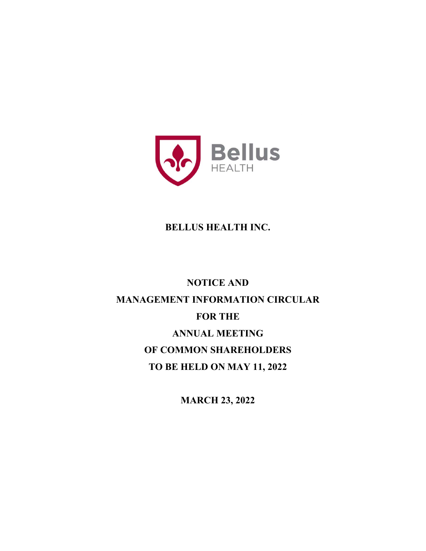

# **BELLUS HEALTH INC.**

# **NOTICE AND MANAGEMENT INFORMATION CIRCULAR FOR THE ANNUAL MEETING OF COMMON SHAREHOLDERS TO BE HELD ON MAY 11, 2022**

**MARCH 23, 2022**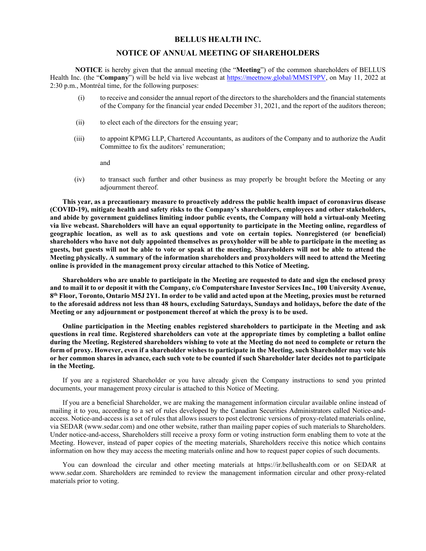#### **BELLUS HEALTH INC.**

#### **NOTICE OF ANNUAL MEETING OF SHAREHOLDERS**

**NOTICE** is hereby given that the annual meeting (the "**Meeting**") of the common shareholders of BELLUS Health Inc. (the "**Company**") will be held via live webcast at https://meetnow.global/MMST9PV, on May 11, 2022 at 2:30 p.m., Montréal time, for the following purposes:

- (i) to receive and consider the annual report of the directors to the shareholders and the financial statements of the Company for the financial year ended December 31, 2021, and the report of the auditors thereon;
- (ii) to elect each of the directors for the ensuing year;
- (iii) to appoint KPMG LLP, Chartered Accountants, as auditors of the Company and to authorize the Audit Committee to fix the auditors' remuneration;

and

(iv) to transact such further and other business as may properly be brought before the Meeting or any adjournment thereof.

**This year, as a precautionary measure to proactively address the public health impact of coronavirus disease (COVID-19), mitigate health and safety risks to the Company's shareholders, employees and other stakeholders, and abide by government guidelines limiting indoor public events, the Company will hold a virtual-only Meeting via live webcast. Shareholders will have an equal opportunity to participate in the Meeting online, regardless of geographic location, as well as to ask questions and vote on certain topics. Nonregistered (or beneficial) shareholders who have not duly appointed themselves as proxyholder will be able to participate in the meeting as guests, but guests will not be able to vote or speak at the meeting. Shareholders will not be able to attend the Meeting physically. A summary of the information shareholders and proxyholders will need to attend the Meeting online is provided in the management proxy circular attached to this Notice of Meeting.** 

**Shareholders who are unable to participate in the Meeting are requested to date and sign the enclosed proxy and to mail it to or deposit it with the Company, c/o Computershare Investor Services Inc., 100 University Avenue, 8th Floor, Toronto, Ontario M5J 2Y1. In order to be valid and acted upon at the Meeting, proxies must be returned to the aforesaid address not less than 48 hours, excluding Saturdays, Sundays and holidays, before the date of the Meeting or any adjournment or postponement thereof at which the proxy is to be used.** 

**Online participation in the Meeting enables registered shareholders to participate in the Meeting and ask questions in real time. Registered shareholders can vote at the appropriate times by completing a ballot online during the Meeting. Registered shareholders wishing to vote at the Meeting do not need to complete or return the form of proxy. However, even if a shareholder wishes to participate in the Meeting, such Shareholder may vote his or her common shares in advance, each such vote to be counted if such Shareholder later decides not to participate in the Meeting.** 

If you are a registered Shareholder or you have already given the Company instructions to send you printed documents, your management proxy circular is attached to this Notice of Meeting.

If you are a beneficial Shareholder, we are making the management information circular available online instead of mailing it to you, according to a set of rules developed by the Canadian Securities Administrators called Notice-andaccess. Notice-and-access is a set of rules that allows issuers to post electronic versions of proxy-related materials online, via SEDAR (www.sedar.com) and one other website, rather than mailing paper copies of such materials to Shareholders. Under notice-and-access, Shareholders still receive a proxy form or voting instruction form enabling them to vote at the Meeting. However, instead of paper copies of the meeting materials, Shareholders receive this notice which contains information on how they may access the meeting materials online and how to request paper copies of such documents.

You can download the circular and other meeting materials at https://ir.bellushealth.com or on SEDAR at www.sedar.com. Shareholders are reminded to review the management information circular and other proxy-related materials prior to voting.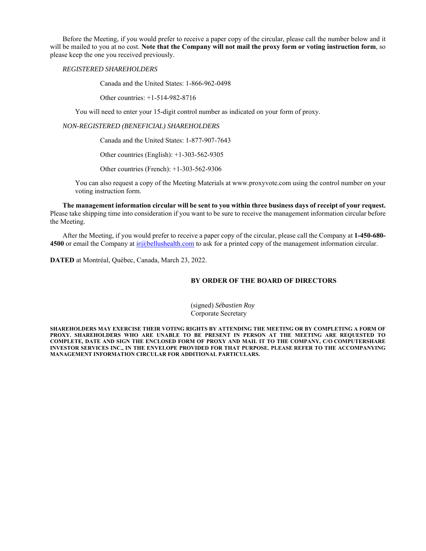Before the Meeting, if you would prefer to receive a paper copy of the circular, please call the number below and it will be mailed to you at no cost. **Note that the Company will not mail the proxy form or voting instruction form**, so please keep the one you received previously.

*REGISTERED SHAREHOLDERS* 

Canada and the United States: 1-866-962-0498

Other countries: +1-514-982-8716

You will need to enter your 15-digit control number as indicated on your form of proxy.

#### *NON-REGISTERED (BENEFICIAL) SHAREHOLDERS*

Canada and the United States: 1-877-907-7643

Other countries (English): +1-303-562-9305

Other countries (French): +1-303-562-9306

You can also request a copy of the Meeting Materials at www.proxyvote.com using the control number on your voting instruction form.

**The management information circular will be sent to you within three business days of receipt of your request.**  Please take shipping time into consideration if you want to be sure to receive the management information circular before the Meeting.

After the Meeting, if you would prefer to receive a paper copy of the circular, please call the Company at **1-450-680- 4500** or email the Company at ir@bellushealth.com to ask for a printed copy of the management information circular.

**DATED** at Montréal, Québec, Canada, March 23, 2022.

#### **BY ORDER OF THE BOARD OF DIRECTORS**

(signed) *Sébastien Roy*  Corporate Secretary

**SHAREHOLDERS MAY EXERCISE THEIR VOTING RIGHTS BY ATTENDING THE MEETING OR BY COMPLETING A FORM OF PROXY. SHAREHOLDERS WHO ARE UNABLE TO BE PRESENT IN PERSON AT THE MEETING ARE REQUESTED TO COMPLETE, DATE AND SIGN THE ENCLOSED FORM OF PROXY AND MAIL IT TO THE COMPANY, C/O COMPUTERSHARE INVESTOR SERVICES INC., IN THE ENVELOPE PROVIDED FOR THAT PURPOSE. PLEASE REFER TO THE ACCOMPANYING MANAGEMENT INFORMATION CIRCULAR FOR ADDITIONAL PARTICULARS.**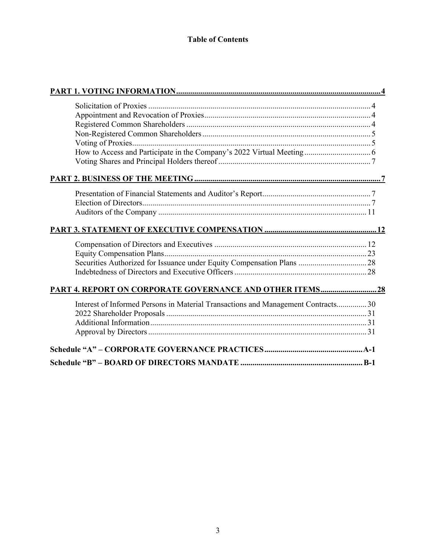# **Table of Contents**

| Interest of Informed Persons in Material Transactions and Management Contracts 30 |  |
|-----------------------------------------------------------------------------------|--|
|                                                                                   |  |
|                                                                                   |  |
|                                                                                   |  |
|                                                                                   |  |
|                                                                                   |  |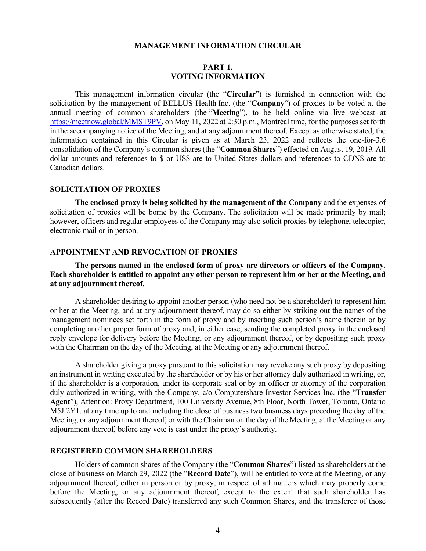#### **MANAGEMENT INFORMATION CIRCULAR**

### **PART 1. VOTING INFORMATION**

This management information circular (the "**Circular**") is furnished in connection with the solicitation by the management of BELLUS Health Inc. (the "**Company**") of proxies to be voted at the annual meeting of common shareholders (the "**Meeting**"), to be held online via live webcast at https://meetnow.global/MMST9PV, on May 11, 2022 at 2:30 p.m., Montréal time, for the purposes set forth in the accompanying notice of the Meeting, and at any adjournment thereof. Except as otherwise stated, the information contained in this Circular is given as at March 23, 2022 and reflects the one-for-3.6 consolidation of the Company's common shares (the "**Common Shares**") effected on August 19, 2019. All dollar amounts and references to \$ or US\$ are to United States dollars and references to CDN\$ are to Canadian dollars.

#### **SOLICITATION OF PROXIES**

**The enclosed proxy is being solicited by the management of the Company** and the expenses of solicitation of proxies will be borne by the Company. The solicitation will be made primarily by mail; however, officers and regular employees of the Company may also solicit proxies by telephone, telecopier, electronic mail or in person.

#### **APPOINTMENT AND REVOCATION OF PROXIES**

#### **The persons named in the enclosed form of proxy are directors or officers of the Company. Each shareholder is entitled to appoint any other person to represent him or her at the Meeting, and at any adjournment thereof.**

A shareholder desiring to appoint another person (who need not be a shareholder) to represent him or her at the Meeting, and at any adjournment thereof, may do so either by striking out the names of the management nominees set forth in the form of proxy and by inserting such person's name therein or by completing another proper form of proxy and, in either case, sending the completed proxy in the enclosed reply envelope for delivery before the Meeting, or any adjournment thereof, or by depositing such proxy with the Chairman on the day of the Meeting, at the Meeting or any adjournment thereof.

A shareholder giving a proxy pursuant to this solicitation may revoke any such proxy by depositing an instrument in writing executed by the shareholder or by his or her attorney duly authorized in writing, or, if the shareholder is a corporation, under its corporate seal or by an officer or attorney of the corporation duly authorized in writing, with the Company, c/o Computershare Investor Services Inc. (the "**Transfer Agent**"), Attention: Proxy Department, 100 University Avenue, 8th Floor, North Tower, Toronto, Ontario M5J 2Y1, at any time up to and including the close of business two business days preceding the day of the Meeting, or any adjournment thereof, or with the Chairman on the day of the Meeting, at the Meeting or any adjournment thereof, before any vote is cast under the proxy's authority.

#### **REGISTERED COMMON SHAREHOLDERS**

Holders of common shares of the Company (the "**Common Shares**") listed as shareholders at the close of business on March 29, 2022 (the "**Record Date**"), will be entitled to vote at the Meeting, or any adjournment thereof, either in person or by proxy, in respect of all matters which may properly come before the Meeting, or any adjournment thereof, except to the extent that such shareholder has subsequently (after the Record Date) transferred any such Common Shares, and the transferee of those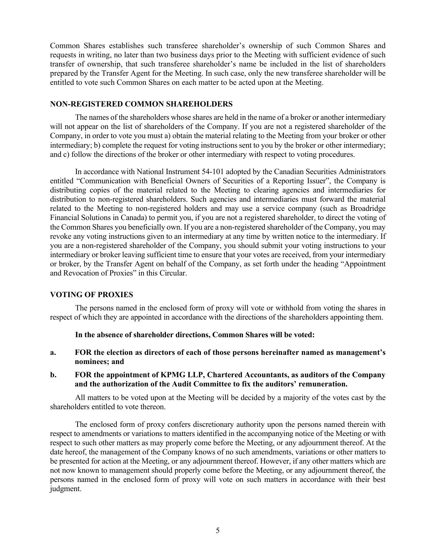Common Shares establishes such transferee shareholder's ownership of such Common Shares and requests in writing, no later than two business days prior to the Meeting with sufficient evidence of such transfer of ownership, that such transferee shareholder's name be included in the list of shareholders prepared by the Transfer Agent for the Meeting. In such case, only the new transferee shareholder will be entitled to vote such Common Shares on each matter to be acted upon at the Meeting.

### **NON-REGISTERED COMMON SHAREHOLDERS**

The names of the shareholders whose shares are held in the name of a broker or another intermediary will not appear on the list of shareholders of the Company. If you are not a registered shareholder of the Company, in order to vote you must a) obtain the material relating to the Meeting from your broker or other intermediary; b) complete the request for voting instructions sent to you by the broker or other intermediary; and c) follow the directions of the broker or other intermediary with respect to voting procedures.

In accordance with National Instrument 54-101 adopted by the Canadian Securities Administrators entitled "Communication with Beneficial Owners of Securities of a Reporting Issuer", the Company is distributing copies of the material related to the Meeting to clearing agencies and intermediaries for distribution to non-registered shareholders. Such agencies and intermediaries must forward the material related to the Meeting to non-registered holders and may use a service company (such as Broadridge Financial Solutions in Canada) to permit you, if you are not a registered shareholder, to direct the voting of the Common Shares you beneficially own. If you are a non-registered shareholder of the Company, you may revoke any voting instructions given to an intermediary at any time by written notice to the intermediary. If you are a non-registered shareholder of the Company, you should submit your voting instructions to your intermediary or broker leaving sufficient time to ensure that your votes are received, from your intermediary or broker, by the Transfer Agent on behalf of the Company, as set forth under the heading "Appointment and Revocation of Proxies" in this Circular.

# **VOTING OF PROXIES**

The persons named in the enclosed form of proxy will vote or withhold from voting the shares in respect of which they are appointed in accordance with the directions of the shareholders appointing them.

**In the absence of shareholder directions, Common Shares will be voted:** 

**a. FOR the election as directors of each of those persons hereinafter named as management's nominees; and** 

# **b. FOR the appointment of KPMG LLP, Chartered Accountants, as auditors of the Company and the authorization of the Audit Committee to fix the auditors' remuneration.**

All matters to be voted upon at the Meeting will be decided by a majority of the votes cast by the shareholders entitled to vote thereon.

The enclosed form of proxy confers discretionary authority upon the persons named therein with respect to amendments or variations to matters identified in the accompanying notice of the Meeting or with respect to such other matters as may properly come before the Meeting, or any adjournment thereof. At the date hereof, the management of the Company knows of no such amendments, variations or other matters to be presented for action at the Meeting, or any adjournment thereof. However, if any other matters which are not now known to management should properly come before the Meeting, or any adjournment thereof, the persons named in the enclosed form of proxy will vote on such matters in accordance with their best judgment.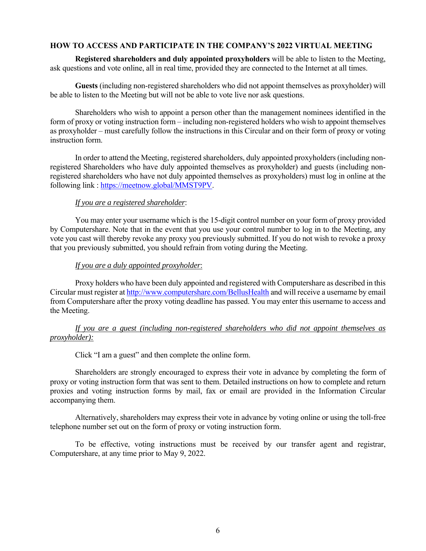### **HOW TO ACCESS AND PARTICIPATE IN THE COMPANY'S 2022 VIRTUAL MEETING**

**Registered shareholders and duly appointed proxyholders** will be able to listen to the Meeting, ask questions and vote online, all in real time, provided they are connected to the Internet at all times.

**Guests** (including non-registered shareholders who did not appoint themselves as proxyholder) will be able to listen to the Meeting but will not be able to vote live nor ask questions.

Shareholders who wish to appoint a person other than the management nominees identified in the form of proxy or voting instruction form – including non-registered holders who wish to appoint themselves as proxyholder – must carefully follow the instructions in this Circular and on their form of proxy or voting instruction form.

In order to attend the Meeting, registered shareholders, duly appointed proxyholders (including nonregistered Shareholders who have duly appointed themselves as proxyholder) and guests (including nonregistered shareholders who have not duly appointed themselves as proxyholders) must log in online at the following link : https://meetnow.global/MMST9PV.

### *If you are a registered shareholder*:

You may enter your username which is the 15-digit control number on your form of proxy provided by Computershare. Note that in the event that you use your control number to log in to the Meeting, any vote you cast will thereby revoke any proxy you previously submitted. If you do not wish to revoke a proxy that you previously submitted, you should refrain from voting during the Meeting.

# *If you are a duly appointed proxyholder*:

Proxy holders who have been duly appointed and registered with Computershare as described in this Circular must register at http://www.computershare.com/BellusHealth and will receive a username by email from Computershare after the proxy voting deadline has passed. You may enter this username to access and the Meeting.

# *If you are a guest (including non-registered shareholders who did not appoint themselves as proxyholder):*

Click "I am a guest" and then complete the online form.

Shareholders are strongly encouraged to express their vote in advance by completing the form of proxy or voting instruction form that was sent to them. Detailed instructions on how to complete and return proxies and voting instruction forms by mail, fax or email are provided in the Information Circular accompanying them.

Alternatively, shareholders may express their vote in advance by voting online or using the toll-free telephone number set out on the form of proxy or voting instruction form.

To be effective, voting instructions must be received by our transfer agent and registrar, Computershare, at any time prior to May 9, 2022.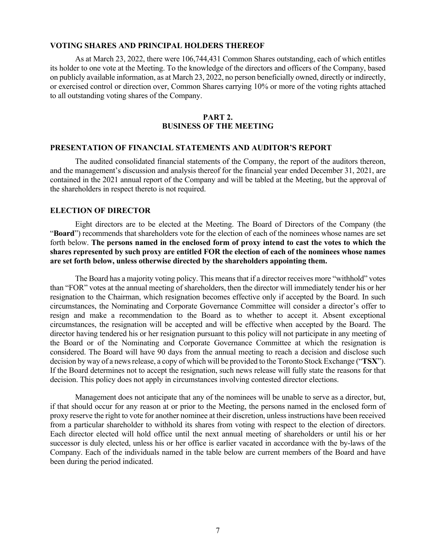#### **VOTING SHARES AND PRINCIPAL HOLDERS THEREOF**

As at March 23, 2022, there were 106,744,431 Common Shares outstanding, each of which entitles its holder to one vote at the Meeting. To the knowledge of the directors and officers of the Company, based on publicly available information, as at March 23, 2022, no person beneficially owned, directly or indirectly, or exercised control or direction over, Common Shares carrying 10% or more of the voting rights attached to all outstanding voting shares of the Company.

#### **PART 2. BUSINESS OF THE MEETING**

#### **PRESENTATION OF FINANCIAL STATEMENTS AND AUDITOR'S REPORT**

The audited consolidated financial statements of the Company, the report of the auditors thereon, and the management's discussion and analysis thereof for the financial year ended December 31, 2021, are contained in the 2021 annual report of the Company and will be tabled at the Meeting, but the approval of the shareholders in respect thereto is not required.

#### **ELECTION OF DIRECTOR**

Eight directors are to be elected at the Meeting. The Board of Directors of the Company (the "**Board**") recommends that shareholders vote for the election of each of the nominees whose names are set forth below. **The persons named in the enclosed form of proxy intend to cast the votes to which the shares represented by such proxy are entitled FOR the election of each of the nominees whose names are set forth below, unless otherwise directed by the shareholders appointing them.** 

The Board has a majority voting policy. This means that if a director receives more "withhold" votes than "FOR" votes at the annual meeting of shareholders, then the director will immediately tender his or her resignation to the Chairman, which resignation becomes effective only if accepted by the Board. In such circumstances, the Nominating and Corporate Governance Committee will consider a director's offer to resign and make a recommendation to the Board as to whether to accept it. Absent exceptional circumstances, the resignation will be accepted and will be effective when accepted by the Board. The director having tendered his or her resignation pursuant to this policy will not participate in any meeting of the Board or of the Nominating and Corporate Governance Committee at which the resignation is considered. The Board will have 90 days from the annual meeting to reach a decision and disclose such decision by way of a news release, a copy of which will be provided to the Toronto Stock Exchange ("**TSX**"). If the Board determines not to accept the resignation, such news release will fully state the reasons for that decision. This policy does not apply in circumstances involving contested director elections.

Management does not anticipate that any of the nominees will be unable to serve as a director, but, if that should occur for any reason at or prior to the Meeting, the persons named in the enclosed form of proxy reserve the right to vote for another nominee at their discretion, unless instructions have been received from a particular shareholder to withhold its shares from voting with respect to the election of directors. Each director elected will hold office until the next annual meeting of shareholders or until his or her successor is duly elected, unless his or her office is earlier vacated in accordance with the by-laws of the Company. Each of the individuals named in the table below are current members of the Board and have been during the period indicated.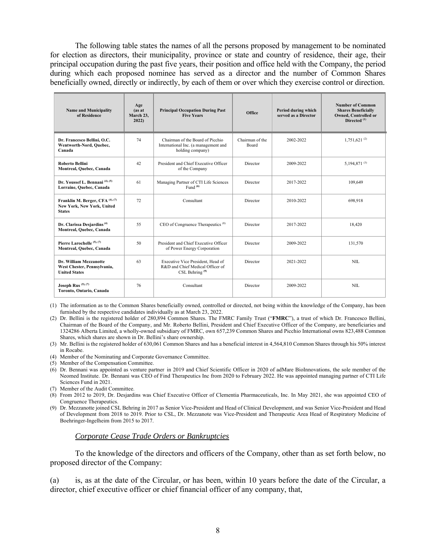The following table states the names of all the persons proposed by management to be nominated for election as directors, their municipality, province or state and country of residence, their age, their principal occupation during the past five years, their position and office held with the Company, the period during which each proposed nominee has served as a director and the number of Common Shares beneficially owned, directly or indirectly, by each of them or over which they exercise control or direction.

| Age<br><b>Name and Municipality</b><br>(as at<br>of Residence<br>March 23,<br>2022)              |    | <b>Principal Occupation During Past</b><br><b>Five Years</b>                                 | Office                   | Period during which<br>served as a Director | <b>Number of Common</b><br><b>Shares Beneficially</b><br><b>Owned, Controlled or</b><br>Directed <sup>(1)</sup> |
|--------------------------------------------------------------------------------------------------|----|----------------------------------------------------------------------------------------------|--------------------------|---------------------------------------------|-----------------------------------------------------------------------------------------------------------------|
| 74<br>Dr. Francesco Bellini, O.C.<br>Wentworth-Nord, Quebec,<br>Canada                           |    | Chairman of the Board of Picchio<br>International Inc. (a management and<br>holding company) | Chairman of the<br>Board | 2002-2022                                   | $1,751,621$ <sup>(2)</sup>                                                                                      |
| <b>Roberto Bellini</b><br>42<br>Montreal, Quebec, Canada                                         |    | President and Chief Executive Officer<br>of the Company                                      | Director                 | 2009-2022                                   | 5,194,871 $(3)$                                                                                                 |
| Dr. Youssef L. Bennani <sup>(4), (5)</sup><br>61<br>Lorraine, Quebec, Canada                     |    | Managing Partner of CTI Life Sciences<br>Fund $(6)$                                          | Director                 | 2017-2022                                   | 109,649                                                                                                         |
| Franklin M. Berger, CFA <sup>(4), (7)</sup><br>72<br>New York, New York, United<br><b>States</b> |    | Consultant                                                                                   | Director                 | 2010-2022                                   | 698,918                                                                                                         |
| Dr. Clarissa Desjardins <sup>(4)</sup><br>55<br>Montreal, Quebec, Canada                         |    | CEO of Congruence Therapeutics <sup>(8)</sup>                                                | Director                 | 2017-2022                                   | 18.420                                                                                                          |
| Pierre Larochelle <sup>(5),(7)</sup><br>50<br>Montreal, Quebec, Canada                           |    | President and Chief Executive Officer<br>of Power Energy Corporation                         | Director                 | 2009-2022                                   | 131,570                                                                                                         |
| 63<br>Dr. William Mezzanotte<br>West Chester, Pennsylvania,<br><b>United States</b>              |    | Executive Vice President, Head of<br>R&D and Chief Medical Officer of<br>CSL Behring $(9)$   | Director                 | 2021-2022                                   | <b>NIL</b>                                                                                                      |
| Joseph Rus <sup>(5), (7)</sup><br>Toronto, Ontario, Canada                                       | 76 | Consultant                                                                                   | Director                 | 2009-2022                                   | NIL                                                                                                             |

(1) The information as to the Common Shares beneficially owned, controlled or directed, not being within the knowledge of the Company, has been furnished by the respective candidates individually as at March 23, 2022.

(2) Dr. Bellini is the registered holder of 280,894 Common Shares. The FMRC Family Trust ("**FMRC**"), a trust of which Dr. Francesco Bellini, Chairman of the Board of the Company, and Mr. Roberto Bellini, President and Chief Executive Officer of the Company, are beneficiaries and 1324286 Alberta Limited, a wholly-owned subsidiary of FMRC, own 657,239 Common Shares and Picchio International owns 823,488 Common Shares, which shares are shown in Dr. Bellini's share ownership.

- (3) Mr. Bellini is the registered holder of 630,061 Common Shares and has a beneficial interest in 4,564,810 Common Shares through his 50% interest in Rocabe.
- (4) Member of the Nominating and Corporate Governance Committee.
- (5) Member of the Compensation Committee.
- (6) Dr. Bennani was appointed as venture partner in 2019 and Chief Scientific Officer in 2020 of adMare BioInnovations, the sole member of the Neomed Institute. Dr. Bennani was CEO of Find Therapeutics Inc from 2020 to February 2022. He was appointed managing partner of CTI Life Sciences Fund in 2021.
- (7) Member of the Audit Committee.
- (8) From 2012 to 2019, Dr. Desjardins was Chief Executive Officer of Clementia Pharmaceuticals, Inc. In May 2021, she was appointed CEO of Congruence Therapeutics.
- (9) Dr. Mezzanotte joined CSL Behring in 2017 as Senior Vice-President and Head of Clinical Development, and was Senior Vice-President and Head of Development from 2018 to 2019. Prior to CSL, Dr. Mezzanote was Vice-President and Therapeutic Area Head of Respiratory Medicine of Boehringer-Ingelheim from 2015 to 2017.

#### *Corporate Cease Trade Orders or Bankruptcies*

To the knowledge of the directors and officers of the Company, other than as set forth below, no proposed director of the Company:

(a) is, as at the date of the Circular, or has been, within 10 years before the date of the Circular, a director, chief executive officer or chief financial officer of any company, that,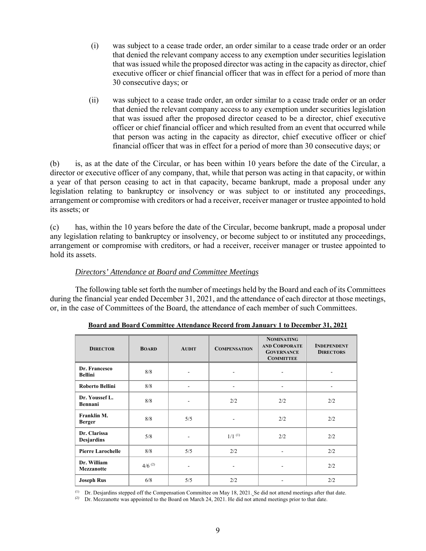- (i) was subject to a cease trade order, an order similar to a cease trade order or an order that denied the relevant company access to any exemption under securities legislation that was issued while the proposed director was acting in the capacity as director, chief executive officer or chief financial officer that was in effect for a period of more than 30 consecutive days; or
- (ii) was subject to a cease trade order, an order similar to a cease trade order or an order that denied the relevant company access to any exemption under securities legislation that was issued after the proposed director ceased to be a director, chief executive officer or chief financial officer and which resulted from an event that occurred while that person was acting in the capacity as director, chief executive officer or chief financial officer that was in effect for a period of more than 30 consecutive days; or

(b) is, as at the date of the Circular, or has been within 10 years before the date of the Circular, a director or executive officer of any company, that, while that person was acting in that capacity, or within a year of that person ceasing to act in that capacity, became bankrupt, made a proposal under any legislation relating to bankruptcy or insolvency or was subject to or instituted any proceedings, arrangement or compromise with creditors or had a receiver, receiver manager or trustee appointed to hold its assets; or

(c) has, within the 10 years before the date of the Circular, become bankrupt, made a proposal under any legislation relating to bankruptcy or insolvency, or become subject to or instituted any proceedings, arrangement or compromise with creditors, or had a receiver, receiver manager or trustee appointed to hold its assets.

# *Directors' Attendance at Board and Committee Meetings*

The following table set forth the number of meetings held by the Board and each of its Committees during the financial year ended December 31, 2021, and the attendance of each director at those meetings, or, in the case of Committees of the Board, the attendance of each member of such Committees.

| <b>DIRECTOR</b>                   | <b>BOARD</b>         | <b>AUDIT</b> | <b>COMPENSATION</b>  | <b>NOMINATING</b><br><b>AND CORPORATE</b><br><b>GOVERNANCE</b><br><b>COMMITTEE</b> | <b>INDEPENDENT</b><br><b>DIRECTORS</b> |
|-----------------------------------|----------------------|--------------|----------------------|------------------------------------------------------------------------------------|----------------------------------------|
| Dr. Francesco<br><b>Bellini</b>   | 8/8                  |              |                      |                                                                                    |                                        |
| <b>Roberto Bellini</b>            | 8/8                  |              |                      |                                                                                    |                                        |
| Dr. Youssef L.<br>Bennani         | 8/8                  |              | 2/2                  | 2/2                                                                                | 2/2                                    |
| Franklin M.<br><b>Berger</b>      | 8/8                  | 5/5          | ۰                    | 2/2                                                                                | 2/2                                    |
| Dr. Clarissa<br><b>Desjardins</b> | 5/8                  |              | $1/1$ <sup>(1)</sup> | 2/2                                                                                | 2/2                                    |
| <b>Pierre Larochelle</b>          | 8/8                  | 5/5          | 2/2                  |                                                                                    | 2/2                                    |
| Dr. William<br><b>Mezzanotte</b>  | $4/6$ <sup>(2)</sup> |              |                      |                                                                                    | 2/2                                    |
| <b>Joseph Rus</b>                 | 6/8                  | 5/5          | 2/2                  |                                                                                    | 2/2                                    |

**Board and Board Committee Attendance Record from January 1 to December 31, 2021** 

(1) Dr. Desjardins stepped off the Compensation Committee on May 18, 2021. Se did not attend meetings after that date.

<sup>(2)</sup> Dr. Mezzanotte was appointed to the Board on March 24, 2021. He did not attend meetings prior to that date.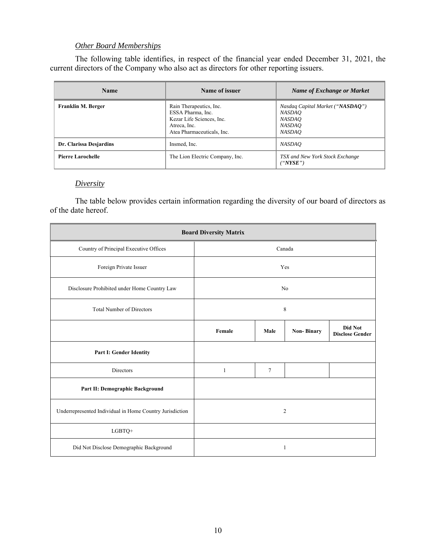# *Other Board Memberships*

The following table identifies, in respect of the financial year ended December 31, 2021, the current directors of the Company who also act as directors for other reporting issuers.

| <b>Name</b>              | Name of issuer                                                                                                          | Name of Exchange or Market                                                                           |  |
|--------------------------|-------------------------------------------------------------------------------------------------------------------------|------------------------------------------------------------------------------------------------------|--|
| Franklin M. Berger       | Rain Therapeutics, Inc.<br>ESSA Pharma, Inc.<br>Kezar Life Sciences, Inc.<br>Atreca, Inc.<br>Atea Pharmaceuticals, Inc. | Nasdaq Capital Market ("NASDAQ")<br><i>NASDAO</i><br><i>NASDAO</i><br><i>NASDAO</i><br><b>NASDAO</b> |  |
| Dr. Clarissa Desjardins  | Insmed, Inc.                                                                                                            | <i>NASDAO</i>                                                                                        |  |
| <b>Pierre Larochelle</b> | The Lion Electric Company, Inc.                                                                                         | TSX and New York Stock Exchange<br>"NYSE"                                                            |  |

### *Diversity*

The table below provides certain information regarding the diversity of our board of directors as of the date hereof.

| <b>Board Diversity Matrix</b>                            |              |                |                   |                                   |  |  |
|----------------------------------------------------------|--------------|----------------|-------------------|-----------------------------------|--|--|
| Country of Principal Executive Offices                   |              |                | Canada            |                                   |  |  |
| Foreign Private Issuer                                   |              |                | Yes               |                                   |  |  |
| Disclosure Prohibited under Home Country Law             |              |                | No                |                                   |  |  |
| <b>Total Number of Directors</b>                         | 8            |                |                   |                                   |  |  |
|                                                          | Female       | Male           | <b>Non-Binary</b> | Did Not<br><b>Disclose Gender</b> |  |  |
| Part I: Gender Identity                                  |              |                |                   |                                   |  |  |
| Directors                                                | $\mathbf{1}$ | $\overline{7}$ |                   |                                   |  |  |
| Part II: Demographic Background                          |              |                |                   |                                   |  |  |
| Underrepresented Individual in Home Country Jurisdiction |              |                | $\overline{2}$    |                                   |  |  |
| LGBTQ+                                                   |              |                |                   |                                   |  |  |
| Did Not Disclose Demographic Background                  |              | 1              |                   |                                   |  |  |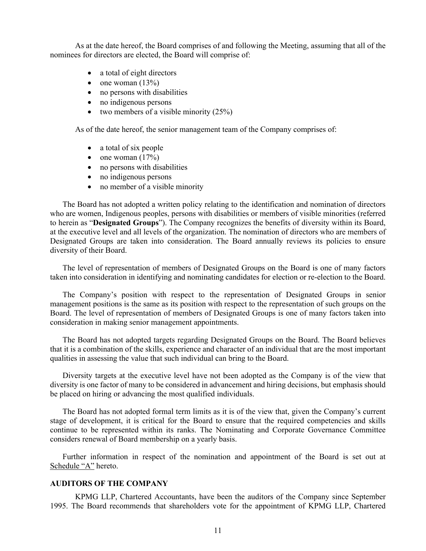As at the date hereof, the Board comprises of and following the Meeting, assuming that all of the nominees for directors are elected, the Board will comprise of:

- a total of eight directors
- $\bullet$  one woman (13%)
- no persons with disabilities
- no indigenous persons
- two members of a visible minority  $(25\%)$

As of the date hereof, the senior management team of the Company comprises of:

- a total of six people
- $\bullet$  one woman  $(17%)$
- no persons with disabilities
- no indigenous persons
- no member of a visible minority

The Board has not adopted a written policy relating to the identification and nomination of directors who are women, Indigenous peoples, persons with disabilities or members of visible minorities (referred to herein as "**Designated Groups**"). The Company recognizes the benefits of diversity within its Board, at the executive level and all levels of the organization. The nomination of directors who are members of Designated Groups are taken into consideration. The Board annually reviews its policies to ensure diversity of their Board.

The level of representation of members of Designated Groups on the Board is one of many factors taken into consideration in identifying and nominating candidates for election or re-election to the Board.

The Company's position with respect to the representation of Designated Groups in senior management positions is the same as its position with respect to the representation of such groups on the Board. The level of representation of members of Designated Groups is one of many factors taken into consideration in making senior management appointments.

The Board has not adopted targets regarding Designated Groups on the Board. The Board believes that it is a combination of the skills, experience and character of an individual that are the most important qualities in assessing the value that such individual can bring to the Board.

Diversity targets at the executive level have not been adopted as the Company is of the view that diversity is one factor of many to be considered in advancement and hiring decisions, but emphasis should be placed on hiring or advancing the most qualified individuals.

The Board has not adopted formal term limits as it is of the view that, given the Company's current stage of development, it is critical for the Board to ensure that the required competencies and skills continue to be represented within its ranks. The Nominating and Corporate Governance Committee considers renewal of Board membership on a yearly basis.

Further information in respect of the nomination and appointment of the Board is set out at Schedule "A" hereto.

#### **AUDITORS OF THE COMPANY**

KPMG LLP, Chartered Accountants, have been the auditors of the Company since September 1995. The Board recommends that shareholders vote for the appointment of KPMG LLP, Chartered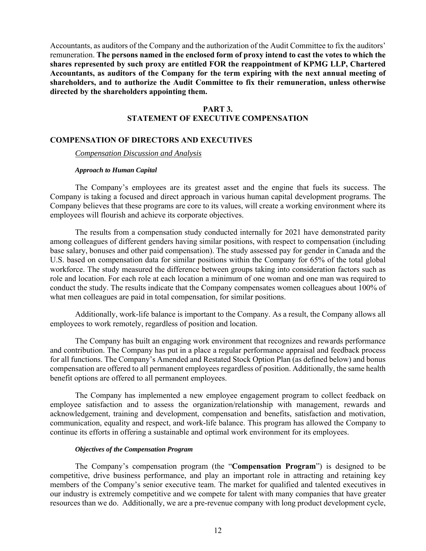Accountants, as auditors of the Company and the authorization of the Audit Committee to fix the auditors' remuneration. **The persons named in the enclosed form of proxy intend to cast the votes to which the shares represented by such proxy are entitled FOR the reappointment of KPMG LLP, Chartered Accountants, as auditors of the Company for the term expiring with the next annual meeting of shareholders, and to authorize the Audit Committee to fix their remuneration, unless otherwise directed by the shareholders appointing them.** 

# **PART 3.**

# **STATEMENT OF EXECUTIVE COMPENSATION**

#### **COMPENSATION OF DIRECTORS AND EXECUTIVES**

*Compensation Discussion and Analysis* 

#### *Approach to Human Capital*

The Company's employees are its greatest asset and the engine that fuels its success. The Company is taking a focused and direct approach in various human capital development programs. The Company believes that these programs are core to its values, will create a working environment where its employees will flourish and achieve its corporate objectives.

The results from a compensation study conducted internally for 2021 have demonstrated parity among colleagues of different genders having similar positions, with respect to compensation (including base salary, bonuses and other paid compensation). The study assessed pay for gender in Canada and the U.S. based on compensation data for similar positions within the Company for 65% of the total global workforce. The study measured the difference between groups taking into consideration factors such as role and location. For each role at each location a minimum of one woman and one man was required to conduct the study. The results indicate that the Company compensates women colleagues about 100% of what men colleagues are paid in total compensation, for similar positions.

Additionally, work-life balance is important to the Company. As a result, the Company allows all employees to work remotely, regardless of position and location.

The Company has built an engaging work environment that recognizes and rewards performance and contribution. The Company has put in a place a regular performance appraisal and feedback process for all functions. The Company's Amended and Restated Stock Option Plan (as defined below) and bonus compensation are offered to all permanent employees regardless of position. Additionally, the same health benefit options are offered to all permanent employees.

The Company has implemented a new employee engagement program to collect feedback on employee satisfaction and to assess the organization/relationship with management, rewards and acknowledgement, training and development, compensation and benefits, satisfaction and motivation, communication, equality and respect, and work-life balance. This program has allowed the Company to continue its efforts in offering a sustainable and optimal work environment for its employees.

#### *Objectives of the Compensation Program*

The Company's compensation program (the "**Compensation Program**") is designed to be competitive, drive business performance, and play an important role in attracting and retaining key members of the Company's senior executive team. The market for qualified and talented executives in our industry is extremely competitive and we compete for talent with many companies that have greater resources than we do. Additionally, we are a pre-revenue company with long product development cycle,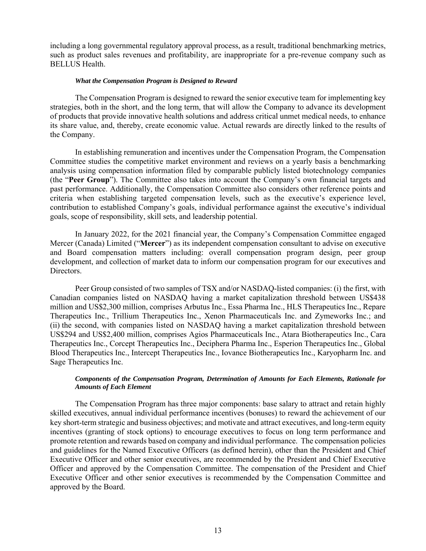including a long governmental regulatory approval process, as a result, traditional benchmarking metrics, such as product sales revenues and profitability, are inappropriate for a pre-revenue company such as BELLUS Health.

#### *What the Compensation Program is Designed to Reward*

The Compensation Program is designed to reward the senior executive team for implementing key strategies, both in the short, and the long term, that will allow the Company to advance its development of products that provide innovative health solutions and address critical unmet medical needs, to enhance its share value, and, thereby, create economic value. Actual rewards are directly linked to the results of the Company.

In establishing remuneration and incentives under the Compensation Program, the Compensation Committee studies the competitive market environment and reviews on a yearly basis a benchmarking analysis using compensation information filed by comparable publicly listed biotechnology companies (the "**Peer Group**"). The Committee also takes into account the Company's own financial targets and past performance. Additionally, the Compensation Committee also considers other reference points and criteria when establishing targeted compensation levels, such as the executive's experience level, contribution to established Company's goals, individual performance against the executive's individual goals, scope of responsibility, skill sets, and leadership potential.

In January 2022, for the 2021 financial year, the Company's Compensation Committee engaged Mercer (Canada) Limited ("**Mercer**") as its independent compensation consultant to advise on executive and Board compensation matters including: overall compensation program design, peer group development, and collection of market data to inform our compensation program for our executives and Directors.

 Peer Group consisted of two samples of TSX and/or NASDAQ-listed companies: (i) the first, with Canadian companies listed on NASDAQ having a market capitalization threshold between US\$438 million and US\$2,300 million, comprises Arbutus Inc., Essa Pharma Inc., HLS Therapeutics Inc., Repare Therapeutics Inc., Trillium Therapeutics Inc., Xenon Pharmaceuticals Inc. and Zymeworks Inc.; and (ii) the second, with companies listed on NASDAQ having a market capitalization threshold between US\$294 and US\$2,400 million, comprises Agios Pharmaceuticals Inc., Atara Biotherapeutics Inc., Cara Therapeutics Inc., Corcept Therapeutics Inc., Deciphera Pharma Inc., Esperion Therapeutics Inc., Global Blood Therapeutics Inc., Intercept Therapeutics Inc., Iovance Biotherapeutics Inc., Karyopharm Inc. and Sage Therapeutics Inc.

#### *Components of the Compensation Program, Determination of Amounts for Each Elements, Rationale for Amounts of Each Element*

The Compensation Program has three major components: base salary to attract and retain highly skilled executives, annual individual performance incentives (bonuses) to reward the achievement of our key short-term strategic and business objectives; and motivate and attract executives, and long-term equity incentives (granting of stock options) to encourage executives to focus on long term performance and promote retention and rewards based on company and individual performance. The compensation policies and guidelines for the Named Executive Officers (as defined herein), other than the President and Chief Executive Officer and other senior executives, are recommended by the President and Chief Executive Officer and approved by the Compensation Committee. The compensation of the President and Chief Executive Officer and other senior executives is recommended by the Compensation Committee and approved by the Board.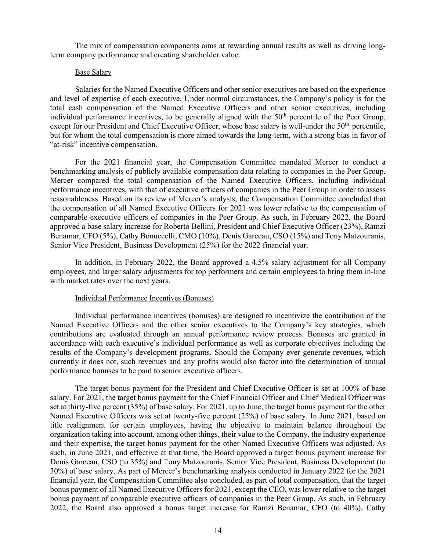The mix of compensation components aims at rewarding annual results as well as driving longterm company performance and creating shareholder value.

#### Base Salary

Salaries for the Named Executive Officers and other senior executives are based on the experience and level of expertise of each executive. Under normal circumstances, the Company's policy is for the total cash compensation of the Named Executive Officers and other senior executives, including individual performance incentives, to be generally aligned with the 50<sup>th</sup> percentile of the Peer Group, except for our President and Chief Executive Officer, whose base salary is well-under the 50<sup>th</sup> percentile, but for whom the total compensation is more aimed towards the long-term, with a strong bias in favor of "at-risk" incentive compensation.

For the 2021 financial year, the Compensation Committee mandated Mercer to conduct a benchmarking analysis of publicly available compensation data relating to companies in the Peer Group. Mercer compared the total compensation of the Named Executive Officers, including individual performance incentives, with that of executive officers of companies in the Peer Group in order to assess reasonableness. Based on its review of Mercer's analysis, the Compensation Committee concluded that the compensation of all Named Executive Officers for 2021 was lower relative to the compensation of comparable executive officers of companies in the Peer Group. As such, in February 2022, the Board approved a base salary increase for Roberto Bellini, President and Chief Executive Officer (23%), Ramzi Benamar, CFO (5%), Cathy Bonuccelli, CMO (10%), Denis Garceau, CSO (15%) and Tony Matzouranis, Senior Vice President, Business Development (25%) for the 2022 financial year.

In addition, in February 2022, the Board approved a 4.5% salary adjustment for all Company employees, and larger salary adjustments for top performers and certain employees to bring them in-line with market rates over the next years.

#### Individual Performance Incentives (Bonuses)

Individual performance incentives (bonuses) are designed to incentivize the contribution of the Named Executive Officers and the other senior executives to the Company's key strategies, which contributions are evaluated through an annual performance review process. Bonuses are granted in accordance with each executive's individual performance as well as corporate objectives including the results of the Company's development programs. Should the Company ever generate revenues, which currently it does not, such revenues and any profits would also factor into the determination of annual performance bonuses to be paid to senior executive officers.

The target bonus payment for the President and Chief Executive Officer is set at 100% of base salary. For 2021, the target bonus payment for the Chief Financial Officer and Chief Medical Officer was set at thirty-five percent (35%) of base salary. For 2021, up to June, the target bonus payment for the other Named Executive Officers was set at twenty-five percent (25%) of base salary. In June 2021, based on title realignment for certain employees, having the objective to maintain balance throughout the organization taking into account, among other things, their value to the Company, the industry experience and their expertise, the target bonus payment for the other Named Executive Officers was adjusted. As such, in June 2021, and effective at that time, the Board approved a target bonus payment increase for Denis Garceau, CSO (to 35%) and Tony Matzouranis, Senior Vice President, Business Development (to 30%) of base salary. As part of Mercer's benchmarking analysis conducted in January 2022 for the 2021 financial year, the Compensation Committee also concluded, as part of total compensation, that the target bonus payment of all Named Executive Officers for 2021, except the CEO, was lower relative to the target bonus payment of comparable executive officers of companies in the Peer Group. As such, in February 2022, the Board also approved a bonus target increase for Ramzi Benamar, CFO (to 40%), Cathy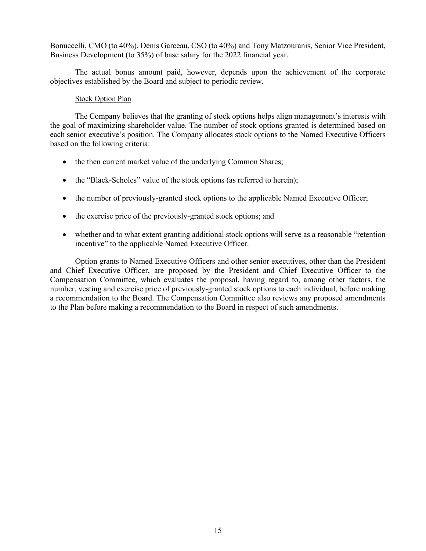Bonuccelli, CMO (to 40%), Denis Garceau, CSO (to 40%) and Tony Matzouranis, Senior Vice President, Business Development (to 35%) of base salary for the 2022 financial year.

The actual bonus amount paid, however, depends upon the achievement of the corporate objectives established by the Board and subject to periodic review.

#### **Stock Option Plan**

The Company believes that the granting of stock options helps align management's interests with the goal of maximizing shareholder value. The number of stock options granted is determined based on each senior executive's position. The Company allocates stock options to the Named Executive Officers based on the following criteria:

- the then current market value of the underlying Common Shares;
- the "Black-Scholes" value of the stock options (as referred to herein);
- the number of previously-granted stock options to the applicable Named Executive Officer;
- the exercise price of the previously-granted stock options; and
- whether and to what extent granting additional stock options will serve as a reasonable "retention incentive" to the applicable Named Executive Officer.

Option grants to Named Executive Officers and other senior executives, other than the President and Chief Executive Officer, are proposed by the President and Chief Executive Officer to the Compensation Committee, which evaluates the proposal, having regard to, among other factors, the number, vesting and exercise price of previously-granted stock options to each individual, before making a recommendation to the Board. The Compensation Committee also reviews any proposed amendments to the Plan before making a recommendation to the Board in respect of such amendments.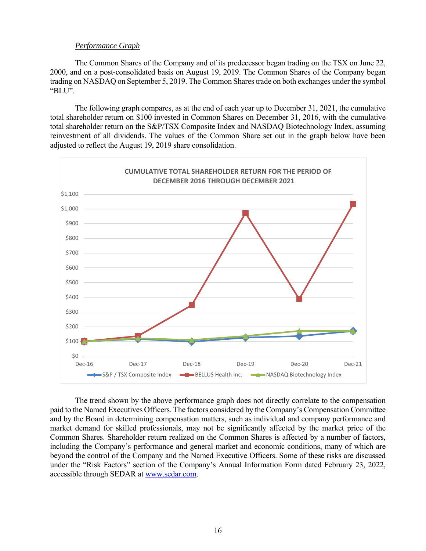#### *Performance Graph*

The Common Shares of the Company and of its predecessor began trading on the TSX on June 22, 2000, and on a post-consolidated basis on August 19, 2019. The Common Shares of the Company began trading on NASDAQ on September 5, 2019. The Common Shares trade on both exchanges under the symbol "BLU".

The following graph compares, as at the end of each year up to December 31, 2021, the cumulative total shareholder return on \$100 invested in Common Shares on December 31, 2016, with the cumulative total shareholder return on the S&P/TSX Composite Index and NASDAQ Biotechnology Index, assuming reinvestment of all dividends. The values of the Common Share set out in the graph below have been adjusted to reflect the August 19, 2019 share consolidation.



 The trend shown by the above performance graph does not directly correlate to the compensation paid to the Named Executives Officers. The factors considered by the Company's Compensation Committee and by the Board in determining compensation matters, such as individual and company performance and market demand for skilled professionals, may not be significantly affected by the market price of the Common Shares. Shareholder return realized on the Common Shares is affected by a number of factors, including the Company's performance and general market and economic conditions, many of which are beyond the control of the Company and the Named Executive Officers. Some of these risks are discussed under the "Risk Factors" section of the Company's Annual Information Form dated February 23, 2022, accessible through SEDAR at www.sedar.com.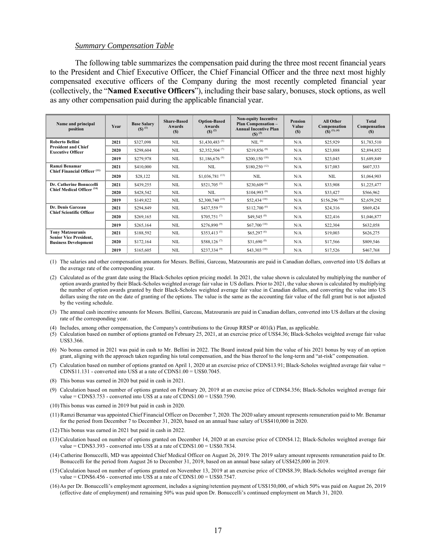#### *Summary Compensation Table*

The following table summarizes the compensation paid during the three most recent financial years to the President and Chief Executive Officer, the Chief Financial Officer and the three next most highly compensated executive officers of the Company during the most recently completed financial year (collectively, the "**Named Executive Officers**"), including their base salary, bonuses, stock options, as well as any other compensation paid during the applicable financial year.

| Name and principal<br>position                               | Year | <b>Base Salary</b><br>$(5)$ <sup>(1)</sup> | <b>Share-Based</b><br>Awards<br>(S) | <b>Option-Based</b><br>Awards<br>$($ ) $($ <sup>2</sup> $)$ | <b>Non-equity Incentive</b><br><b>Plan Compensation -</b><br><b>Annual Incentive Plan</b><br>$($ ) $($ 3 $)$ | <b>Pension</b><br>Value<br>(S) | All Other<br>Compensation<br>$($ \, (3) (1), (4) | <b>Total</b><br>Compensation<br>(S) |
|--------------------------------------------------------------|------|--------------------------------------------|-------------------------------------|-------------------------------------------------------------|--------------------------------------------------------------------------------------------------------------|--------------------------------|--------------------------------------------------|-------------------------------------|
| <b>Roberto Bellini</b>                                       | 2021 | \$327,098                                  | <b>NIL</b>                          | $$1,430,483$ <sup>(5)</sup>                                 | NIL <sup>(6)</sup>                                                                                           | N/A                            | \$25,929                                         | \$1,783,510                         |
| <b>President and Chief</b><br><b>Executive Officer</b>       | 2020 | \$298,604                                  | <b>NIL</b>                          | \$2,352,504 $(7)$                                           | $$219,856^{(8)}$                                                                                             | N/A                            | \$23,888                                         | \$2,894,852                         |
|                                                              | 2019 | \$279,978                                  | <b>NIL</b>                          | \$1,186,676 $(9)$                                           | \$200,150 $(10)$                                                                                             | N/A                            | \$23,045                                         | \$1,689,849                         |
| Ramzi Benamar                                                | 2021 | \$410,000                                  | <b>NIL</b>                          | <b>NIL</b>                                                  | $$180,250$ <sup>(12)</sup>                                                                                   | N/A                            | \$17,083                                         | \$607,333                           |
| Chief Financial Officer <sup>(11)</sup>                      | 2020 | \$28,122                                   | <b>NIL</b>                          | $$1,036,781$ <sup>(13)</sup>                                | <b>NIL</b>                                                                                                   | N/A                            | <b>NIL</b>                                       | \$1,064,903                         |
| Dr. Catherine Bonuccelli                                     | 2021 | \$439,255                                  | <b>NIL</b>                          | $$521.705^{(5)}$                                            | \$230,609 $(6)$                                                                                              | N/A                            | \$33,908                                         | \$1,225,477                         |
| Chief Medical Officer <sup>(14)</sup>                        | 2020 | \$428,542                                  | <b>NIL</b>                          | <b>NIL</b>                                                  | \$104.993 <sup>(8)</sup>                                                                                     | N/A                            | \$33,427                                         | \$566,962                           |
|                                                              | 2019 | \$149,822                                  | <b>NIL</b>                          | \$2,300,740 $(15)$                                          | \$52,434 (10)                                                                                                | N/A                            | $$156,296$ <sup>(16)</sup>                       | \$2,659,292                         |
| Dr. Denis Garceau<br><b>Chief Scientific Officer</b>         | 2021 | \$294,849                                  | <b>NIL</b>                          | \$437,559 $(5)$                                             | $$112,700^{(6)}$                                                                                             | N/A                            | \$24,316                                         | \$869,424                           |
|                                                              | 2020 | \$269,165                                  | <b>NIL</b>                          | $$705,751^{(7)}$                                            | $$49,545$ <sup>(8)</sup>                                                                                     | N/A                            | \$22,416                                         | \$1,046,877                         |
|                                                              | 2019 | \$265,164                                  | <b>NIL</b>                          | \$276,890 $(9)$                                             | $$67,700^{(10)}$                                                                                             | N/A                            | \$22,304                                         | \$632,058                           |
| <b>Tony Matzouranis</b>                                      | 2021 | \$188,592                                  | <b>NIL</b>                          | \$353,413 $(5)$                                             | \$65,297 <sup>(6)</sup>                                                                                      | N/A                            | \$19,003                                         | \$626,275                           |
| <b>Senior Vice President,</b><br><b>Business Development</b> | 2020 | \$172,164                                  | <b>NIL</b>                          | $$588,126^{(7)}$                                            | \$31,690 $(8)$                                                                                               | N/A                            | \$17,566                                         | \$809,546                           |
|                                                              | 2019 | \$165,605                                  | <b>NIL</b>                          | $$237,334^{(9)}$                                            | \$43,303 <sup>(10)</sup>                                                                                     | N/A                            | \$17,526                                         | \$467,768                           |

(1) The salaries and other compensation amounts for Messrs. Bellini, Garceau, Matzouranis are paid in Canadian dollars, converted into US dollars at the average rate of the corresponding year.

(2) Calculated as of the grant date using the Black-Scholes option pricing model. In 2021, the value shown is calculated by multiplying the number of option awards granted by their Black-Scholes weighted average fair value in US dollars. Prior to 2021, the value shown is calculated by multiplying the number of option awards granted by their Black-Scholes weighted average fair value in Canadian dollars, and converting the value into US dollars using the rate on the date of granting of the options. The value is the same as the accounting fair value of the full grant but is not adjusted by the vesting schedule.

- (3) The annual cash incentive amounts for Messrs. Bellini, Garceau, Matzouranis are paid in Canadian dollars, converted into US dollars at the closing rate of the corresponding year.
- (4) Includes, among other compensation, the Company's contributions to the Group RRSP or 401(k) Plan, as applicable.

(5) Calculation based on number of options granted on February 25, 2021, at an exercise price of US\$4.36; Black-Scholes weighted average fair value US\$3.366.

(6) No bonus earned in 2021 was paid in cash to Mr. Bellini in 2022. The Board instead paid him the value of his 2021 bonus by way of an option grant, aligning with the approach taken regarding his total compensation, and the bias thereof to the long-term and "at-risk" compensation.

- (7) Calculation based on number of options granted on April 1, 2020 at an exercise price of CDN\$13.91; Black-Scholes weighted average fair value = CDN\$11.131 - converted into US\$ at a rate of CDN\$1.00 = US\$0.7045.
- (8) This bonus was earned in 2020 but paid in cash in 2021.
- (9) Calculation based on number of options granted on February 20, 2019 at an exercise price of CDN\$4.356; Black-Scholes weighted average fair value = CDN\$3.753 - converted into US\$ at a rate of CDN\$1.00 = US\$0.7590.
- (10) This bonus was earned in 2019 but paid in cash in 2020.
- (11) Ramzi Benamar was appointed Chief Financial Officer on December 7, 2020. The 2020 salary amount represents remuneration paid to Mr. Benamar for the period from December 7 to December 31, 2020, based on an annual base salary of US\$410,000 in 2020.
- (12) This bonus was earned in 2021 but paid in cash in 2022.
- (13) Calculation based on number of options granted on December 14, 2020 at an exercise price of CDN\$4.12; Black-Scholes weighted average fair value = CDN\$3.393 - converted into US\$ at a rate of CDN\$1.00 = US\$0.7834.
- (14) Catherine Bonuccelli, MD was appointed Chief Medical Officer on August 26, 2019. The 2019 salary amount represents remuneration paid to Dr. Bonuccelli for the period from August 26 to December 31, 2019, based on an annual base salary of US\$425,000 in 2019.
- (15) Calculation based on number of options granted on November 13, 2019 at an exercise price of CDN\$8.39; Black-Scholes weighted average fair value = CDN\$6.456 - converted into US\$ at a rate of CDN\$1.00 = US\$0.7547.
- (16) As per Dr. Bonuccelli's employment agreement, includes a signing/retention payment of US\$150,000, of which 50% was paid on August 26, 2019 (effective date of employment) and remaining 50% was paid upon Dr. Bonuccelli's continued employment on March 31, 2020.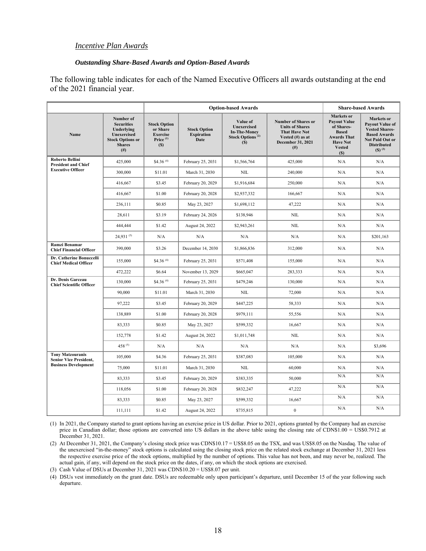#### *Incentive Plan Awards*

#### *Outstanding Share-Based Awards and Option-Based Awards*

The following table indicates for each of the Named Executive Officers all awards outstanding at the end of the 2021 financial year.

|                                                          |                                                                                                                            |                                                                                   | <b>Option-based Awards</b>                       |                                                                                              | <b>Share-based Awards</b>                                                                                                         |                                                                                                                                  |                                                                                                                                                       |
|----------------------------------------------------------|----------------------------------------------------------------------------------------------------------------------------|-----------------------------------------------------------------------------------|--------------------------------------------------|----------------------------------------------------------------------------------------------|-----------------------------------------------------------------------------------------------------------------------------------|----------------------------------------------------------------------------------------------------------------------------------|-------------------------------------------------------------------------------------------------------------------------------------------------------|
| Name                                                     | Number of<br><b>Securities</b><br>Underlying<br><b>Unexercised</b><br><b>Stock Options or</b><br><b>Shares</b><br>$^{(#)}$ | <b>Stock Option</b><br>or Share<br><b>Exercise</b><br>Price <sup>(1)</sup><br>(S) | <b>Stock Option</b><br><b>Expiration</b><br>Date | Value of<br><b>Unexercised</b><br><b>In-The-Money</b><br>Stock Options <sup>(2)</sup><br>(S) | <b>Number of Shares or</b><br><b>Units of Shares</b><br><b>That Have Not</b><br>Vested (#) as at<br>December 31, 2021<br>$^{(#)}$ | Markets or<br><b>Payout Value</b><br>of Shares-<br><b>Based</b><br><b>Awards That</b><br><b>Have Not</b><br><b>Vested</b><br>(S) | Markets or<br><b>Payout Value of</b><br><b>Vested Shares-</b><br><b>Based Awards</b><br>Not Paid Out or<br><b>Distributed</b><br>$(S)$ <sup>(3)</sup> |
| <b>Roberto Bellini</b><br><b>President and Chief</b>     | 425,000                                                                                                                    | \$4.36 $(4)$                                                                      | February 25, 2031                                | \$1,566,764                                                                                  | 425,000                                                                                                                           | N/A                                                                                                                              | N/A                                                                                                                                                   |
| <b>Executive Officer</b>                                 | 300,000                                                                                                                    | \$11.01                                                                           | March 31, 2030                                   | <b>NIL</b>                                                                                   | 240,000                                                                                                                           | N/A                                                                                                                              | N/A                                                                                                                                                   |
|                                                          | 416,667                                                                                                                    | \$3.45                                                                            | February 20, 2029                                | \$1,916,684                                                                                  | 250,000                                                                                                                           | N/A                                                                                                                              | N/A                                                                                                                                                   |
|                                                          | 416,667                                                                                                                    | \$1.00                                                                            | February 20, 2028                                | \$2,937,332                                                                                  | 166,667                                                                                                                           | N/A                                                                                                                              | N/A                                                                                                                                                   |
|                                                          | 236,111                                                                                                                    | \$0.85                                                                            | May 23, 2027                                     | \$1,698,112                                                                                  | 47,222                                                                                                                            | N/A                                                                                                                              | N/A                                                                                                                                                   |
|                                                          | 28,611                                                                                                                     | \$3.19                                                                            | February 24, 2026                                | \$138,946                                                                                    | <b>NIL</b>                                                                                                                        | N/A                                                                                                                              | N/A                                                                                                                                                   |
|                                                          | 444,444                                                                                                                    | \$1.42                                                                            | August 24, 2022                                  | \$2,943,261                                                                                  | <b>NIL</b>                                                                                                                        | N/A                                                                                                                              | N/A                                                                                                                                                   |
|                                                          | $24,931^{(5)}$                                                                                                             | N/A                                                                               | N/A                                              | N/A                                                                                          | N/A                                                                                                                               | N/A                                                                                                                              | \$201,163                                                                                                                                             |
| <b>Ramzi Benamar</b><br><b>Chief Financial Officer</b>   | 390,000                                                                                                                    | \$3.26                                                                            | December 14, 2030                                | \$1,866,836                                                                                  | 312,000                                                                                                                           | N/A                                                                                                                              | N/A                                                                                                                                                   |
| Dr. Catherine Bonuccelli<br><b>Chief Medical Officer</b> | 155,000                                                                                                                    | \$4.36 $(4)$                                                                      | February 25, 2031                                | \$571,408                                                                                    | 155,000                                                                                                                           | N/A                                                                                                                              | N/A                                                                                                                                                   |
|                                                          | 472,222                                                                                                                    | \$6.64                                                                            | November 13, 2029                                | \$665,047                                                                                    | 283,333                                                                                                                           | N/A                                                                                                                              | N/A                                                                                                                                                   |
| Dr. Denis Garceau<br><b>Chief Scientific Officer</b>     | 130,000                                                                                                                    | \$4.36 $(4)$                                                                      | February 25, 2031                                | \$479,246                                                                                    | 130,000                                                                                                                           | N/A                                                                                                                              | N/A                                                                                                                                                   |
|                                                          | 90,000                                                                                                                     | \$11.01                                                                           | March 31, 2030                                   | <b>NIL</b>                                                                                   | 72,000                                                                                                                            | N/A                                                                                                                              | N/A                                                                                                                                                   |
|                                                          | 97,222                                                                                                                     | \$3.45                                                                            | February 20, 2029                                | \$447,225                                                                                    | 58,333                                                                                                                            | N/A                                                                                                                              | N/A                                                                                                                                                   |
|                                                          | 138,889                                                                                                                    | \$1.00                                                                            | February 20, 2028                                | \$979,111                                                                                    | 55,556                                                                                                                            | N/A                                                                                                                              | N/A                                                                                                                                                   |
|                                                          | 83,333                                                                                                                     | \$0.85                                                                            | May 23, 2027                                     | \$599,332                                                                                    | 16,667                                                                                                                            | N/A                                                                                                                              | N/A                                                                                                                                                   |
|                                                          | 152,778                                                                                                                    | \$1.42                                                                            | August 24, 2022                                  | \$1,011,748                                                                                  | <b>NIL</b>                                                                                                                        | N/A                                                                                                                              | N/A                                                                                                                                                   |
|                                                          | 458 $(5)$                                                                                                                  | N/A                                                                               | N/A                                              | N/A                                                                                          | N/A                                                                                                                               | N/A                                                                                                                              | \$3,696                                                                                                                                               |
| <b>Tony Matzouranis</b><br><b>Senior Vice President,</b> | 105,000                                                                                                                    | \$4.36                                                                            | February 25, 2031                                | \$387,083                                                                                    | 105,000                                                                                                                           | N/A                                                                                                                              | N/A                                                                                                                                                   |
| <b>Business Development</b>                              | 75,000                                                                                                                     | \$11.01                                                                           | March 31, 2030                                   | <b>NIL</b>                                                                                   | 60,000                                                                                                                            | N/A                                                                                                                              | N/A                                                                                                                                                   |
|                                                          | 83,333                                                                                                                     | \$3.45                                                                            | February 20, 2029                                | \$383,335                                                                                    | 50,000                                                                                                                            | N/A                                                                                                                              | N/A                                                                                                                                                   |
|                                                          | 118,056                                                                                                                    | \$1.00                                                                            | February 20, 2028                                | \$832,247                                                                                    | 47,222                                                                                                                            | N/A                                                                                                                              | N/A                                                                                                                                                   |
|                                                          | 83,333                                                                                                                     | \$0.85                                                                            | May 23, 2027                                     | \$599,332                                                                                    | 16,667                                                                                                                            | N/A                                                                                                                              | N/A                                                                                                                                                   |
|                                                          | 111,111                                                                                                                    | \$1.42                                                                            | August 24, 2022                                  | \$735,815                                                                                    | $\boldsymbol{0}$                                                                                                                  | N/A                                                                                                                              | N/A                                                                                                                                                   |

(1) In 2021, the Company started to grant options having an exercise price in US dollar. Prior to 2021, options granted by the Company had an exercise price in Canadian dollar; those options are converted into US dollars in the above table using the closing rate of CDN\$1.00 = US\$0.7912 at December 31, 2021.

(2) At December 31, 2021, the Company's closing stock price was CDN\$10.17 = US\$8.05 on the TSX, and was US\$8.05 on the Nasdaq. The value of the unexercised "in-the-money" stock options is calculated using the closing stock price on the related stock exchange at December 31, 2021 less the respective exercise price of the stock options, multiplied by the number of options. This value has not been, and may never be, realized. The actual gain, if any, will depend on the stock price on the dates, if any, on which the stock options are exercised.

(3) Cash Value of DSUs at December 31, 2021 was CDN\$10.20 = US\$8.07 per unit.

(4) DSUs vest immediately on the grant date. DSUs are redeemable only upon participant's departure, until December 15 of the year following such departure.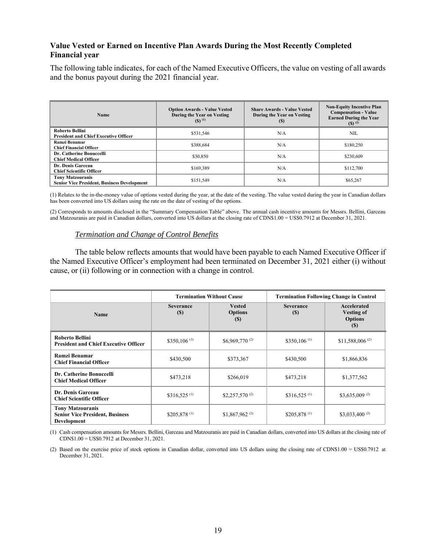### **Value Vested or Earned on Incentive Plan Awards During the Most Recently Completed Financial year**

The following table indicates, for each of the Named Executive Officers, the value on vesting of all awards and the bonus payout during the 2021 financial year.

| <b>Name</b>                                                                   | <b>Option Awards - Value Vested</b><br>During the Year on Vesting<br>$(5)$ <sup>(1)</sup> | <b>Share Awards - Value Vested</b><br>During the Year on Vesting<br>(S) | <b>Non-Equity Incentive Plan</b><br><b>Compensation - Value</b><br><b>Earned During the Year</b><br>$(S)$ <sup>(2)</sup> |
|-------------------------------------------------------------------------------|-------------------------------------------------------------------------------------------|-------------------------------------------------------------------------|--------------------------------------------------------------------------------------------------------------------------|
| <b>Roberto Bellini</b><br><b>President and Chief Executive Officer</b>        | \$531,546                                                                                 | N/A                                                                     | NIL                                                                                                                      |
| Ramzi Benamar<br><b>Chief Financial Officer</b>                               | \$388,684                                                                                 | N/A                                                                     | \$180,250                                                                                                                |
| Dr. Catherine Bonuccelli<br><b>Chief Medical Officer</b>                      | \$30,850                                                                                  | N/A                                                                     | \$230,609                                                                                                                |
| Dr. Denis Garceau<br><b>Chief Scientific Officer</b>                          | \$169,389                                                                                 | N/A                                                                     | \$112,700                                                                                                                |
| <b>Tony Matzouranis</b><br><b>Senior Vice President, Business Development</b> | \$151,549                                                                                 | N/A                                                                     | \$65,267                                                                                                                 |

(1) Relates to the in-the-money value of options vested during the year, at the date of the vesting. The value vested during the year in Canadian dollars has been converted into US dollars using the rate on the date of vesting of the options.

(2) Corresponds to amounts disclosed in the "Summary Compensation Table" above. The annual cash incentive amounts for Messrs. Bellini, Garceau and Matzouranis are paid in Canadian dollars, converted into US dollars at the closing rate of CDN\$1.00 = US\$0.7912 at December 31, 2021.

#### *Termination and Change of Control Benefits*

The table below reflects amounts that would have been payable to each Named Executive Officer if the Named Executive Officer's employment had been terminated on December 31, 2021 either (i) without cause, or (ii) following or in connection with a change in control.

|                                                                                  |                                 | <b>Termination Without Cause</b>         | <b>Termination Following Change in Control</b> |                                                           |  |  |
|----------------------------------------------------------------------------------|---------------------------------|------------------------------------------|------------------------------------------------|-----------------------------------------------------------|--|--|
| <b>Name</b>                                                                      | <b>Severance</b><br><b>(\$)</b> | <b>Vested</b><br><b>Options</b><br>$(S)$ | <b>Severance</b><br>(S)                        | Accelerated<br><b>Vesting of</b><br><b>Options</b><br>(S) |  |  |
| Roberto Bellini<br><b>President and Chief Executive Officer</b>                  | $$350,106$ <sup>(1)</sup>       | \$6,969,770 $(2)$                        | \$350,106 $(1)$                                | \$11,588,006 $^{(2)}$                                     |  |  |
| Ramzi Benamar<br><b>Chief Financial Officer</b>                                  | \$430,500                       | \$373,367                                | \$430,500                                      | \$1,866,836                                               |  |  |
| Dr. Catherine Bonuccelli<br><b>Chief Medical Officer</b>                         | \$473,218                       | \$266,019                                | \$473,218                                      | \$1,377,562                                               |  |  |
| Dr. Denis Garceau<br><b>Chief Scientific Officer</b>                             | \$316,525 $(1)$                 | \$2,257,570 $^{(2)}$                     | \$316,525 <sup>(1)</sup>                       | \$3,635,009 $^{(2)}$                                      |  |  |
| <b>Tony Matzouranis</b><br><b>Senior Vice President, Business</b><br>Development | \$205,878 <sup>(1)</sup>        | \$1,867,962 $(2)$                        | \$205,878 <sup>(1)</sup>                       | \$3,033,400 $^{(2)}$                                      |  |  |

(1) Cash compensation amounts for Messrs. Bellini, Garceau and Matzouranis are paid in Canadian dollars, converted into US dollars at the closing rate of CDN\$1.00 = US\$0.7912 at December 31, 2021.

(2) Based on the exercise price of stock options in Canadian dollar, converted into US dollars using the closing rate of CDN\$1.00 = US\$0.7912 at December 31, 2021.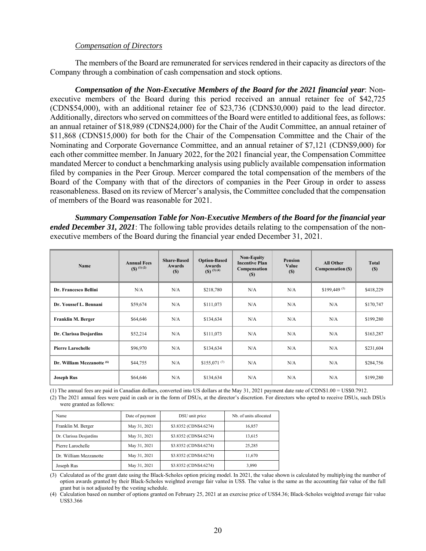#### *Compensation of Directors*

The members of the Board are remunerated for services rendered in their capacity as directors of the Company through a combination of cash compensation and stock options.

*Compensation of the Non-Executive Members of the Board for the 2021 financial year*: Nonexecutive members of the Board during this period received an annual retainer fee of \$42,725 (CDN\$54,000), with an additional retainer fee of \$23,736 (CDN\$30,000) paid to the lead director. Additionally, directors who served on committees of the Board were entitled to additional fees, as follows: an annual retainer of \$18,989 (CDN\$24,000) for the Chair of the Audit Committee, an annual retainer of \$11,868 (CDN\$15,000) for both for the Chair of the Compensation Committee and the Chair of the Nominating and Corporate Governance Committee, and an annual retainer of \$7,121 (CDN\$9,000) for each other committee member. In January 2022, for the 2021 financial year, the Compensation Committee mandated Mercer to conduct a benchmarking analysis using publicly available compensation information filed by companies in the Peer Group. Mercer compared the total compensation of the members of the Board of the Company with that of the directors of companies in the Peer Group in order to assess reasonableness. Based on its review of Mercer's analysis, the Committee concluded that the compensation of members of the Board was reasonable for 2021.

*Summary Compensation Table for Non-Executive Members of the Board for the financial year ended December 31, 2021*: The following table provides details relating to the compensation of the nonexecutive members of the Board during the financial year ended December 31, 2021.

| Name                                  | <b>Annual Fees</b><br>$($ f(S) $($ 1) $(2)$ | <b>Share-Based</b><br>Awards<br><b>(S)</b> | <b>Option-Based</b><br>Awards<br>$($ ) $($ 3 $)$ $($ 4 $)$ | <b>Non-Equity</b><br><b>Incentive Plan</b><br>Compensation<br><b>(S)</b> | <b>Pension</b><br>Value<br>(S) | <b>All Other</b><br>Compensation (\$) | <b>Total</b><br>(S) |
|---------------------------------------|---------------------------------------------|--------------------------------------------|------------------------------------------------------------|--------------------------------------------------------------------------|--------------------------------|---------------------------------------|---------------------|
| Dr. Francesco Bellini                 | N/A                                         | N/A                                        | \$218,780                                                  | N/A                                                                      | N/A                            | $$199,449^{(5)}$                      | \$418,229           |
| Dr. Youssef L. Bennani                | \$59,674                                    | N/A                                        | \$111,073                                                  | N/A                                                                      | N/A                            | N/A                                   | \$170,747           |
| Franklin M. Berger                    | \$64,646                                    | N/A                                        | \$134,634                                                  | N/A                                                                      | N/A                            | N/A                                   | \$199,280           |
| Dr. Clarissa Desjardins               | \$52,214                                    | N/A                                        | \$111,073                                                  | N/A                                                                      | N/A                            | N/A                                   | \$163,287           |
| <b>Pierre Larochelle</b>              | \$96,970                                    | N/A                                        | \$134,634                                                  | N/A                                                                      | N/A                            | N/A                                   | \$231,604           |
| Dr. William Mezzanotte <sup>(6)</sup> | \$44,755                                    | N/A                                        | $$155,071^{(7)}$                                           | N/A                                                                      | N/A                            | N/A                                   | \$284,756           |
| <b>Joseph Rus</b>                     | \$64,646                                    | N/A                                        | \$134,634                                                  | N/A                                                                      | N/A                            | N/A                                   | \$199,280           |

(1) The annual fees are paid in Canadian dollars, converted into US dollars at the May 31, 2021 payment date rate of CDN\$1.00 = US\$0.7912.

(2) The 2021 annual fees were paid in cash or in the form of DSUs, at the director's discretion. For directors who opted to receive DSUs, such DSUs were granted as follows:

| Name                    | Date of payment | DSU unit price         | Nb. of units allocated |  |
|-------------------------|-----------------|------------------------|------------------------|--|
| Franklin M. Berger      | May 31, 2021    | \$3.8352 (CDN\$4.6274) | 16,857                 |  |
| Dr. Clarissa Desjardins | May 31, 2021    | \$3.8352 (CDN\$4.6274) | 13.615                 |  |
| Pierre Larochelle       | May 31, 2021    | \$3.8352 (CDN\$4.6274) | 25,285                 |  |
| Dr. William Mezzanotte  | May 31, 2021    | \$3.8352 (CDN\$4.6274) | 11.670                 |  |
| Joseph Rus              | May 31, 2021    | \$3.8352 (CDN\$4.6274) | 3,890                  |  |

(3) Calculated as of the grant date using the Black-Scholes option pricing model. In 2021, the value shown is calculated by multiplying the number of option awards granted by their Black-Scholes weighted average fair value in US\$. The value is the same as the accounting fair value of the full grant but is not adjusted by the vesting schedule.

(4) Calculation based on number of options granted on February 25, 2021 at an exercise price of US\$4.36; Black-Scholes weighted average fair value US\$3.366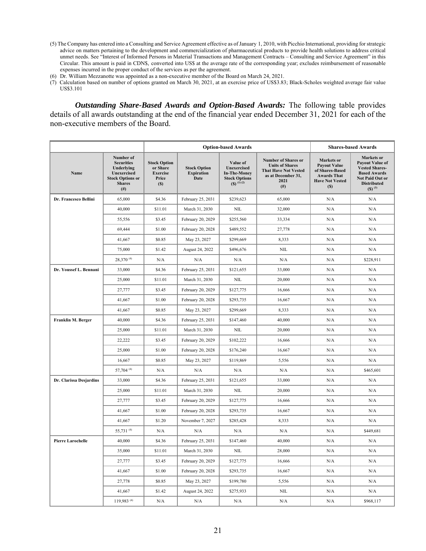- (5) The Company has entered into a Consulting and Service Agreement effective as of January 1, 2010, with Picchio International, providing for strategic advice on matters pertaining to the development and commercialization of pharmaceutical products to provide health solutions to address critical unmet needs. See "Interest of Informed Persons in Material Transactions and Management Contracts – Consulting and Service Agreement" in this Circular. This amount is paid in CDN\$, converted into US\$ at the average rate of the corresponding year; excludes reimbursement of reasonable expenses incurred in the proper conduct of the services as per the agreement.
- (6) Dr. William Mezzanotte was appointed as a non-executive member of the Board on March 24, 2021.
- (7) Calculation based on number of options granted on March 30, 2021, at an exercise price of US\$3.83; Black-Scholes weighted average fair value US\$3.101

*Outstanding Share-Based Awards and Option-Based Awards:* The following table provides details of all awards outstanding at the end of the financial year ended December 31, 2021 for each of the non-executive members of the Board.

|                          |                                                                                                                            | <b>Option-based Awards</b>                                         |                                                  |                                                                                          |                                                                                                                                | <b>Shares-based Awards</b>                                                                                         |                                                                                                                                                     |  |
|--------------------------|----------------------------------------------------------------------------------------------------------------------------|--------------------------------------------------------------------|--------------------------------------------------|------------------------------------------------------------------------------------------|--------------------------------------------------------------------------------------------------------------------------------|--------------------------------------------------------------------------------------------------------------------|-----------------------------------------------------------------------------------------------------------------------------------------------------|--|
| Name                     | Number of<br><b>Securities</b><br>Underlying<br><b>Unexercised</b><br><b>Stock Options or</b><br><b>Shares</b><br>$^{(#)}$ | <b>Stock Option</b><br>or Share<br><b>Exercise</b><br>Price<br>(S) | <b>Stock Option</b><br><b>Expiration</b><br>Date | Value of<br>Unexercised<br><b>In-The-Money</b><br><b>Stock Options</b><br>$(5)$ $(1)(2)$ | <b>Number of Shares or</b><br><b>Units of Shares</b><br><b>That Have Not Vested</b><br>as at December 31,<br>2021<br>$($ # $)$ | Markets or<br><b>Payout Value</b><br>of Shares-Based<br><b>Awards That</b><br><b>Have Not Vested</b><br><b>(S)</b> | Markets or<br><b>Payout Value of</b><br><b>Vested Shares-</b><br><b>Based Awards</b><br><b>Not Paid Out or</b><br><b>Distributed</b><br>$(5)^{(3)}$ |  |
| Dr. Francesco Bellini    | 65,000                                                                                                                     | \$4.36                                                             | February 25, 2031                                | \$239,623                                                                                | 65,000                                                                                                                         | N/A                                                                                                                | N/A                                                                                                                                                 |  |
|                          | 40,000                                                                                                                     | \$11.01                                                            | March 31, 2030                                   | $\rm NIL$                                                                                | 32,000                                                                                                                         | N/A                                                                                                                | N/A                                                                                                                                                 |  |
|                          | 55,556                                                                                                                     | \$3.45                                                             | February 20, 2029                                | \$255,560                                                                                | 33,334                                                                                                                         | N/A                                                                                                                | N/A                                                                                                                                                 |  |
|                          | 69,444                                                                                                                     | \$1.00                                                             | February 20, 2028                                | \$489,552                                                                                | 27,778                                                                                                                         | N/A                                                                                                                | N/A                                                                                                                                                 |  |
|                          | 41,667                                                                                                                     | \$0.85                                                             | May 23, 2027                                     | \$299,669                                                                                | 8,333                                                                                                                          | N/A                                                                                                                | N/A                                                                                                                                                 |  |
|                          | 75,000                                                                                                                     | \$1.42                                                             | August 24, 2022                                  | \$496,676                                                                                | <b>NIL</b>                                                                                                                     | N/A                                                                                                                | N/A                                                                                                                                                 |  |
|                          | 28,370 <sup>(4)</sup>                                                                                                      | N/A                                                                | N/A                                              | N/A                                                                                      | N/A                                                                                                                            | N/A                                                                                                                | \$228,911                                                                                                                                           |  |
| Dr. Youssef L. Bennani   | 33,000                                                                                                                     | \$4.36                                                             | February 25, 2031                                | \$121,655                                                                                | 33,000                                                                                                                         | N/A                                                                                                                | N/A                                                                                                                                                 |  |
|                          | 25,000                                                                                                                     | \$11.01                                                            | March 31, 2030                                   | NIL                                                                                      | 20,000                                                                                                                         | N/A                                                                                                                | N/A                                                                                                                                                 |  |
|                          | 27,777                                                                                                                     | \$3.45                                                             | February 20, 2029                                | \$127,775                                                                                | 16,666                                                                                                                         | N/A                                                                                                                | N/A                                                                                                                                                 |  |
|                          | 41,667                                                                                                                     | \$1.00                                                             | February 20, 2028                                | \$293,735                                                                                | 16,667                                                                                                                         | N/A                                                                                                                | N/A                                                                                                                                                 |  |
|                          | 41,667                                                                                                                     | \$0.85                                                             | May 23, 2027                                     | \$299,669                                                                                | 8,333                                                                                                                          | N/A                                                                                                                | N/A                                                                                                                                                 |  |
| Franklin M. Berger       | 40,000                                                                                                                     | \$4.36                                                             | February 25, 2031                                | \$147,460                                                                                | 40,000                                                                                                                         | N/A                                                                                                                | N/A                                                                                                                                                 |  |
|                          | 25,000                                                                                                                     | \$11.01                                                            | March 31, 2030                                   | NIL                                                                                      | 20,000                                                                                                                         | N/A                                                                                                                | N/A                                                                                                                                                 |  |
|                          | 22,222                                                                                                                     | \$3.45                                                             | February 20, 2029                                | \$102,222                                                                                | 16,666                                                                                                                         | N/A                                                                                                                | N/A                                                                                                                                                 |  |
|                          | 25,000                                                                                                                     | \$1.00                                                             | February 20, 2028                                | \$176,240                                                                                | 16,667                                                                                                                         | N/A                                                                                                                | N/A                                                                                                                                                 |  |
|                          | 16,667                                                                                                                     | \$0.85                                                             | May 23, 2027                                     | \$119,869                                                                                | 5,556                                                                                                                          | N/A                                                                                                                | N/A                                                                                                                                                 |  |
|                          | 57,704 (4)                                                                                                                 | N/A                                                                | N/A                                              | N/A                                                                                      | N/A                                                                                                                            | N/A                                                                                                                | \$465,601                                                                                                                                           |  |
| Dr. Clarissa Desjardins  | 33,000                                                                                                                     | \$4.36                                                             | February 25, 2031                                | \$121,655                                                                                | 33,000                                                                                                                         | N/A                                                                                                                | N/A                                                                                                                                                 |  |
|                          | 25,000                                                                                                                     | \$11.01                                                            | March 31, 2030                                   | NIL                                                                                      | 20,000                                                                                                                         | N/A                                                                                                                | N/A                                                                                                                                                 |  |
|                          | 27,777                                                                                                                     | \$3.45                                                             | February 20, 2029                                | \$127,775                                                                                | 16,666                                                                                                                         | N/A                                                                                                                | N/A                                                                                                                                                 |  |
|                          | 41,667                                                                                                                     | \$1.00                                                             | February 20, 2028                                | \$293,735                                                                                | 16,667                                                                                                                         | N/A                                                                                                                | N/A                                                                                                                                                 |  |
|                          | 41,667                                                                                                                     | \$1.20                                                             | November 7, 2027                                 | \$285,428                                                                                | 8,333                                                                                                                          | N/A                                                                                                                | N/A                                                                                                                                                 |  |
|                          | 55,731 (4)                                                                                                                 | N/A                                                                | N/A                                              | N/A                                                                                      | N/A                                                                                                                            | N/A                                                                                                                | \$449,681                                                                                                                                           |  |
| <b>Pierre Larochelle</b> | 40,000                                                                                                                     | \$4.36                                                             | February 25, 2031                                | \$147,460                                                                                | 40,000                                                                                                                         | N/A                                                                                                                | N/A                                                                                                                                                 |  |
|                          | 35,000                                                                                                                     | \$11.01                                                            | March 31, 2030                                   | <b>NIL</b>                                                                               | 28,000                                                                                                                         | N/A                                                                                                                | N/A                                                                                                                                                 |  |
|                          | 27,777                                                                                                                     | \$3.45                                                             | February 20, 2029                                | \$127,775                                                                                | 16,666                                                                                                                         | N/A                                                                                                                | N/A                                                                                                                                                 |  |
|                          | 41,667                                                                                                                     | \$1.00                                                             | February 20, 2028                                | \$293,735                                                                                | 16,667                                                                                                                         | N/A                                                                                                                | N/A                                                                                                                                                 |  |
|                          | 27,778                                                                                                                     | \$0.85                                                             | May 23, 2027                                     | \$199,780                                                                                | 5,556                                                                                                                          | N/A                                                                                                                | N/A                                                                                                                                                 |  |
|                          | 41,667                                                                                                                     | \$1.42                                                             | August 24, 2022                                  | \$275,933                                                                                | NIL                                                                                                                            | N/A                                                                                                                | N/A                                                                                                                                                 |  |
|                          | 119,983 <sup>(4)</sup>                                                                                                     | N/A                                                                | N/A                                              | N/A                                                                                      | N/A                                                                                                                            | N/A                                                                                                                | \$968,117                                                                                                                                           |  |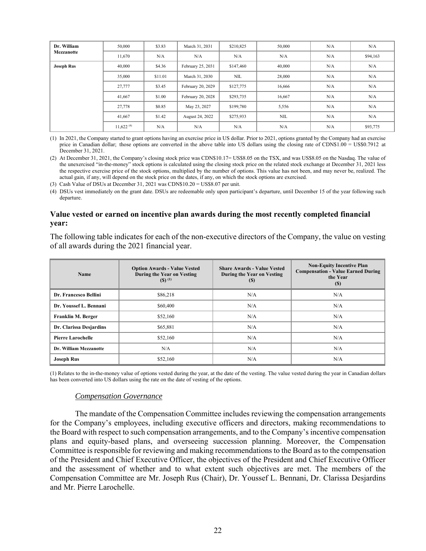| Dr. William<br><b>Mezzanotte</b> | 50,000         | \$3.83  | March 31, 2031    | \$210,825 | 50,000     | N/A | N/A      |
|----------------------------------|----------------|---------|-------------------|-----------|------------|-----|----------|
|                                  | 11,670         | N/A     | N/A               | N/A       | N/A        | N/A | \$94,163 |
| <b>Joseph Rus</b>                | 40,000         | \$4.36  | February 25, 2031 | \$147,460 | 40,000     | N/A | N/A      |
|                                  | 35,000         | \$11.01 | March 31, 2030    | NIL       | 28,000     | N/A | N/A      |
|                                  | 27,777         | \$3.45  | February 20, 2029 | \$127,775 | 16,666     | N/A | N/A      |
|                                  | 41,667         | \$1.00  | February 20, 2028 | \$293,735 | 16,667     | N/A | N/A      |
|                                  | 27,778         | \$0.85  | May 23, 2027      | \$199,780 | 5,556      | N/A | N/A      |
|                                  | 41,667         | \$1.42  | August 24, 2022   | \$275,933 | <b>NIL</b> | N/A | N/A      |
|                                  | $11,622^{(4)}$ | N/A     | N/A               | N/A       | N/A        | N/A | \$93,775 |

(1) In 2021, the Company started to grant options having an exercise price in US dollar. Prior to 2021, options granted by the Company had an exercise price in Canadian dollar; those options are converted in the above table into US dollars using the closing rate of CDN\$1.00 = US\$0.7912 at December 31, 2021.

(2) At December 31, 2021, the Company's closing stock price was CDN\$10.17= US\$8.05 on the TSX, and was US\$8.05 on the Nasdaq. The value of the unexercised "in-the-money" stock options is calculated using the closing stock price on the related stock exchange at December 31, 2021 less the respective exercise price of the stock options, multiplied by the number of options. This value has not been, and may never be, realized. The actual gain, if any, will depend on the stock price on the dates, if any, on which the stock options are exercised.

(3) Cash Value of DSUs at December 31, 2021 was CDN\$10.20 = US\$8.07 per unit.

(4) DSUs vest immediately on the grant date. DSUs are redeemable only upon participant's departure, until December 15 of the year following such departure.

### **Value vested or earned on incentive plan awards during the most recently completed financial year:**

The following table indicates for each of the non-executive directors of the Company, the value on vesting of all awards during the 2021 financial year.

| Name                     | <b>Option Awards - Value Vested</b><br>During the Year on Vesting<br>$(5)$ <sup>(1)</sup> | <b>Share Awards - Value Vested</b><br>During the Year on Vesting<br>(S) | <b>Non-Equity Incentive Plan</b><br><b>Compensation - Value Earned During</b><br>the Year<br><b>(S)</b> |  |
|--------------------------|-------------------------------------------------------------------------------------------|-------------------------------------------------------------------------|---------------------------------------------------------------------------------------------------------|--|
| Dr. Francesco Bellini    | \$86,218                                                                                  | N/A                                                                     | N/A                                                                                                     |  |
| Dr. Youssef L. Bennani   | \$60,400                                                                                  | N/A                                                                     | N/A                                                                                                     |  |
| Franklin M. Berger       | \$52,160                                                                                  | N/A                                                                     | N/A                                                                                                     |  |
| Dr. Clarissa Desjardins  | \$65,881                                                                                  | N/A                                                                     | N/A                                                                                                     |  |
| <b>Pierre Larochelle</b> | \$52,160                                                                                  | N/A                                                                     | N/A                                                                                                     |  |
| Dr. William Mezzanotte   | N/A                                                                                       | N/A                                                                     | N/A                                                                                                     |  |
| <b>Joseph Rus</b>        | \$52,160                                                                                  | N/A                                                                     | N/A                                                                                                     |  |

(1) Relates to the in-the-money value of options vested during the year, at the date of the vesting. The value vested during the year in Canadian dollars has been converted into US dollars using the rate on the date of vesting of the options.

#### *Compensation Governance*

The mandate of the Compensation Committee includes reviewing the compensation arrangements for the Company's employees, including executive officers and directors, making recommendations to the Board with respect to such compensation arrangements, and to the Company's incentive compensation plans and equity-based plans, and overseeing succession planning. Moreover, the Compensation Committee is responsible for reviewing and making recommendations to the Board as to the compensation of the President and Chief Executive Officer, the objectives of the President and Chief Executive Officer and the assessment of whether and to what extent such objectives are met. The members of the Compensation Committee are Mr. Joseph Rus (Chair), Dr. Youssef L. Bennani, Dr. Clarissa Desjardins and Mr. Pierre Larochelle.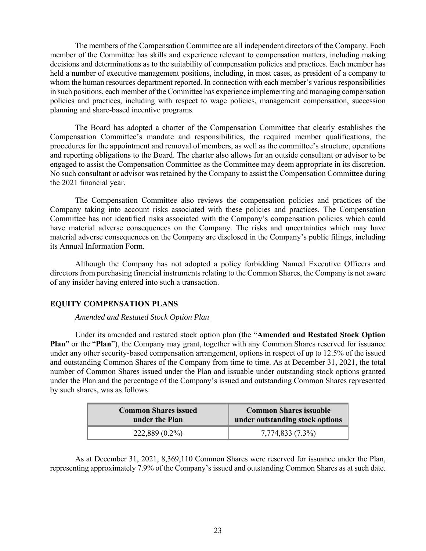The members of the Compensation Committee are all independent directors of the Company. Each member of the Committee has skills and experience relevant to compensation matters, including making decisions and determinations as to the suitability of compensation policies and practices. Each member has held a number of executive management positions, including, in most cases, as president of a company to whom the human resources department reported. In connection with each member's various responsibilities in such positions, each member of the Committee has experience implementing and managing compensation policies and practices, including with respect to wage policies, management compensation, succession planning and share-based incentive programs.

The Board has adopted a charter of the Compensation Committee that clearly establishes the Compensation Committee's mandate and responsibilities, the required member qualifications, the procedures for the appointment and removal of members, as well as the committee's structure, operations and reporting obligations to the Board. The charter also allows for an outside consultant or advisor to be engaged to assist the Compensation Committee as the Committee may deem appropriate in its discretion. No such consultant or advisor was retained by the Company to assist the Compensation Committee during the 2021 financial year.

The Compensation Committee also reviews the compensation policies and practices of the Company taking into account risks associated with these policies and practices. The Compensation Committee has not identified risks associated with the Company's compensation policies which could have material adverse consequences on the Company. The risks and uncertainties which may have material adverse consequences on the Company are disclosed in the Company's public filings, including its Annual Information Form.

Although the Company has not adopted a policy forbidding Named Executive Officers and directors from purchasing financial instruments relating to the Common Shares, the Company is not aware of any insider having entered into such a transaction.

# **EQUITY COMPENSATION PLANS**

#### *Amended and Restated Stock Option Plan*

Under its amended and restated stock option plan (the "**Amended and Restated Stock Option Plan**" or the "**Plan**"), the Company may grant, together with any Common Shares reserved for issuance under any other security-based compensation arrangement, options in respect of up to 12.5% of the issued and outstanding Common Shares of the Company from time to time. As at December 31, 2021, the total number of Common Shares issued under the Plan and issuable under outstanding stock options granted under the Plan and the percentage of the Company's issued and outstanding Common Shares represented by such shares, was as follows:

| <b>Common Shares issued</b> | Common Shares issuable          |
|-----------------------------|---------------------------------|
| under the Plan              | under outstanding stock options |
| $222,889(0.2\%)$            | 7,774,833 (7.3%)                |

As at December 31, 2021, 8,369,110 Common Shares were reserved for issuance under the Plan, representing approximately 7.9% of the Company's issued and outstanding Common Shares as at such date.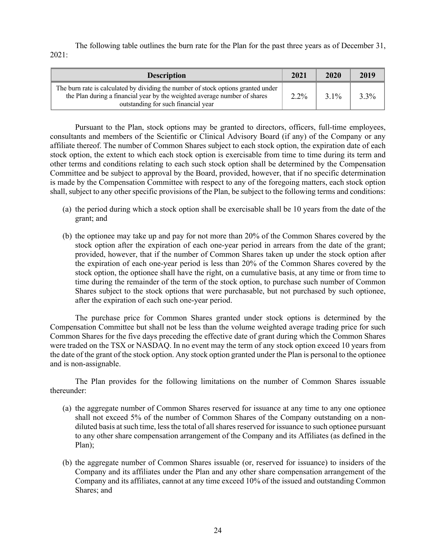The following table outlines the burn rate for the Plan for the past three years as of December 31, 2021:

| <b>Description</b>                                                                                                                                                                                    | 2021    | 2020    | 2019 |
|-------------------------------------------------------------------------------------------------------------------------------------------------------------------------------------------------------|---------|---------|------|
| The burn rate is calculated by dividing the number of stock options granted under<br>the Plan during a financial year by the weighted average number of shares<br>outstanding for such financial year | $2.2\%$ | $3.1\%$ | 3.3% |

Pursuant to the Plan, stock options may be granted to directors, officers, full-time employees, consultants and members of the Scientific or Clinical Advisory Board (if any) of the Company or any affiliate thereof. The number of Common Shares subject to each stock option, the expiration date of each stock option, the extent to which each stock option is exercisable from time to time during its term and other terms and conditions relating to each such stock option shall be determined by the Compensation Committee and be subject to approval by the Board, provided, however, that if no specific determination is made by the Compensation Committee with respect to any of the foregoing matters, each stock option shall, subject to any other specific provisions of the Plan, be subject to the following terms and conditions:

- (a) the period during which a stock option shall be exercisable shall be 10 years from the date of the grant; and
- (b) the optionee may take up and pay for not more than 20% of the Common Shares covered by the stock option after the expiration of each one-year period in arrears from the date of the grant; provided, however, that if the number of Common Shares taken up under the stock option after the expiration of each one-year period is less than 20% of the Common Shares covered by the stock option, the optionee shall have the right, on a cumulative basis, at any time or from time to time during the remainder of the term of the stock option, to purchase such number of Common Shares subject to the stock options that were purchasable, but not purchased by such optionee, after the expiration of each such one-year period.

The purchase price for Common Shares granted under stock options is determined by the Compensation Committee but shall not be less than the volume weighted average trading price for such Common Shares for the five days preceding the effective date of grant during which the Common Shares were traded on the TSX or NASDAQ. In no event may the term of any stock option exceed 10 years from the date of the grant of the stock option. Any stock option granted under the Plan is personal to the optionee and is non-assignable.

The Plan provides for the following limitations on the number of Common Shares issuable thereunder:

- (a) the aggregate number of Common Shares reserved for issuance at any time to any one optionee shall not exceed 5% of the number of Common Shares of the Company outstanding on a nondiluted basis at such time, less the total of all shares reserved for issuance to such optionee pursuant to any other share compensation arrangement of the Company and its Affiliates (as defined in the Plan);
- (b) the aggregate number of Common Shares issuable (or, reserved for issuance) to insiders of the Company and its affiliates under the Plan and any other share compensation arrangement of the Company and its affiliates, cannot at any time exceed 10% of the issued and outstanding Common Shares; and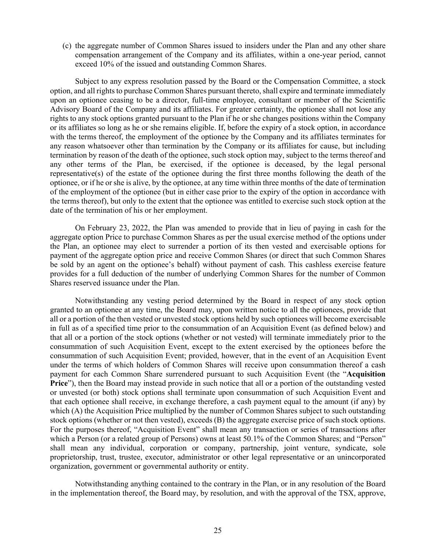(c) the aggregate number of Common Shares issued to insiders under the Plan and any other share compensation arrangement of the Company and its affiliates, within a one-year period, cannot exceed 10% of the issued and outstanding Common Shares.

Subject to any express resolution passed by the Board or the Compensation Committee, a stock option, and all rights to purchase Common Shares pursuant thereto, shall expire and terminate immediately upon an optionee ceasing to be a director, full-time employee, consultant or member of the Scientific Advisory Board of the Company and its affiliates. For greater certainty, the optionee shall not lose any rights to any stock options granted pursuant to the Plan if he or she changes positions within the Company or its affiliates so long as he or she remains eligible. If, before the expiry of a stock option, in accordance with the terms thereof, the employment of the optionee by the Company and its affiliates terminates for any reason whatsoever other than termination by the Company or its affiliates for cause, but including termination by reason of the death of the optionee, such stock option may, subject to the terms thereof and any other terms of the Plan, be exercised, if the optionee is deceased, by the legal personal representative(s) of the estate of the optionee during the first three months following the death of the optionee, or if he or she is alive, by the optionee, at any time within three months of the date of termination of the employment of the optionee (but in either case prior to the expiry of the option in accordance with the terms thereof), but only to the extent that the optionee was entitled to exercise such stock option at the date of the termination of his or her employment.

On February 23, 2022, the Plan was amended to provide that in lieu of paying in cash for the aggregate option Price to purchase Common Shares as per the usual exercise method of the options under the Plan, an optionee may elect to surrender a portion of its then vested and exercisable options for payment of the aggregate option price and receive Common Shares (or direct that such Common Shares be sold by an agent on the optionee's behalf) without payment of cash. This cashless exercise feature provides for a full deduction of the number of underlying Common Shares for the number of Common Shares reserved issuance under the Plan.

Notwithstanding any vesting period determined by the Board in respect of any stock option granted to an optionee at any time, the Board may, upon written notice to all the optionees, provide that all or a portion of the then vested or unvested stock options held by such optionees will become exercisable in full as of a specified time prior to the consummation of an Acquisition Event (as defined below) and that all or a portion of the stock options (whether or not vested) will terminate immediately prior to the consummation of such Acquisition Event, except to the extent exercised by the optionees before the consummation of such Acquisition Event; provided, however, that in the event of an Acquisition Event under the terms of which holders of Common Shares will receive upon consummation thereof a cash payment for each Common Share surrendered pursuant to such Acquisition Event (the "**Acquisition Price**"), then the Board may instead provide in such notice that all or a portion of the outstanding vested or unvested (or both) stock options shall terminate upon consummation of such Acquisition Event and that each optionee shall receive, in exchange therefore, a cash payment equal to the amount (if any) by which (A) the Acquisition Price multiplied by the number of Common Shares subject to such outstanding stock options (whether or not then vested), exceeds (B) the aggregate exercise price of such stock options. For the purposes thereof, "Acquisition Event" shall mean any transaction or series of transactions after which a Person (or a related group of Persons) owns at least 50.1% of the Common Shares; and "Person" shall mean any individual, corporation or company, partnership, joint venture, syndicate, sole proprietorship, trust, trustee, executor, administrator or other legal representative or an unincorporated organization, government or governmental authority or entity.

Notwithstanding anything contained to the contrary in the Plan, or in any resolution of the Board in the implementation thereof, the Board may, by resolution, and with the approval of the TSX, approve,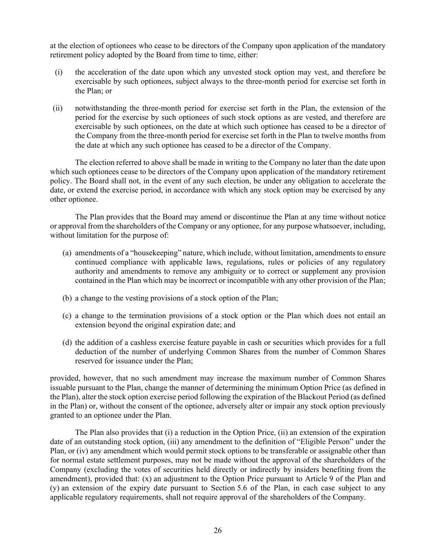at the election of optionees who cease to be directors of the Company upon application of the mandatory retirement policy adopted by the Board from time to time, either:

- (i) the acceleration of the date upon which any unvested stock option may vest, and therefore be exercisable by such optionees, subject always to the three-month period for exercise set forth in the Plan; or
- (ii) notwithstanding the three-month period for exercise set forth in the Plan, the extension of the period for the exercise by such optionees of such stock options as are vested, and therefore are exercisable by such optionees, on the date at which such optionee has ceased to be a director of the Company from the three-month period for exercise set forth in the Plan to twelve months from the date at which any such optionee has ceased to be a director of the Company.

The election referred to above shall be made in writing to the Company no later than the date upon which such optionees cease to be directors of the Company upon application of the mandatory retirement policy. The Board shall not, in the event of any such election, be under any obligation to accelerate the date, or extend the exercise period, in accordance with which any stock option may be exercised by any other optionee.

The Plan provides that the Board may amend or discontinue the Plan at any time without notice or approval from the shareholders of the Company or any optionee, for any purpose whatsoever, including, without limitation for the purpose of:

- (a) amendments of a "housekeeping" nature, which include, without limitation, amendments to ensure continued compliance with applicable laws, regulations, rules or policies of any regulatory authority and amendments to remove any ambiguity or to correct or supplement any provision contained in the Plan which may be incorrect or incompatible with any other provision of the Plan;
- (b) a change to the vesting provisions of a stock option of the Plan;
- (c) a change to the termination provisions of a stock option or the Plan which does not entail an extension beyond the original expiration date; and
- (d) the addition of a cashless exercise feature payable in cash or securities which provides for a full deduction of the number of underlying Common Shares from the number of Common Shares reserved for issuance under the Plan;

provided, however, that no such amendment may increase the maximum number of Common Shares issuable pursuant to the Plan, change the manner of determining the minimum Option Price (as defined in the Plan), alter the stock option exercise period following the expiration of the Blackout Period (as defined in the Plan) or, without the consent of the optionee, adversely alter or impair any stock option previously granted to an optionee under the Plan.

The Plan also provides that (i) a reduction in the Option Price, (ii) an extension of the expiration date of an outstanding stock option, (iii) any amendment to the definition of "Eligible Person" under the Plan, or (iv) any amendment which would permit stock options to be transferable or assignable other than for normal estate settlement purposes, may not be made without the approval of the shareholders of the Company (excluding the votes of securities held directly or indirectly by insiders benefiting from the amendment), provided that: (x) an adjustment to the Option Price pursuant to Article 9 of the Plan and (y) an extension of the expiry date pursuant to Section 5.6 of the Plan, in each case subject to any applicable regulatory requirements, shall not require approval of the shareholders of the Company.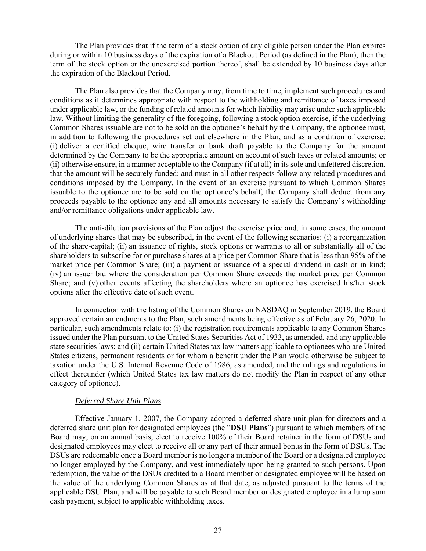The Plan provides that if the term of a stock option of any eligible person under the Plan expires during or within 10 business days of the expiration of a Blackout Period (as defined in the Plan), then the term of the stock option or the unexercised portion thereof, shall be extended by 10 business days after the expiration of the Blackout Period.

The Plan also provides that the Company may, from time to time, implement such procedures and conditions as it determines appropriate with respect to the withholding and remittance of taxes imposed under applicable law, or the funding of related amounts for which liability may arise under such applicable law. Without limiting the generality of the foregoing, following a stock option exercise, if the underlying Common Shares issuable are not to be sold on the optionee's behalf by the Company, the optionee must, in addition to following the procedures set out elsewhere in the Plan, and as a condition of exercise: (i) deliver a certified cheque, wire transfer or bank draft payable to the Company for the amount determined by the Company to be the appropriate amount on account of such taxes or related amounts; or (ii) otherwise ensure, in a manner acceptable to the Company (if at all) in its sole and unfettered discretion, that the amount will be securely funded; and must in all other respects follow any related procedures and conditions imposed by the Company. In the event of an exercise pursuant to which Common Shares issuable to the optionee are to be sold on the optionee's behalf, the Company shall deduct from any proceeds payable to the optionee any and all amounts necessary to satisfy the Company's withholding and/or remittance obligations under applicable law.

The anti-dilution provisions of the Plan adjust the exercise price and, in some cases, the amount of underlying shares that may be subscribed, in the event of the following scenarios: (i) a reorganization of the share-capital; (ii) an issuance of rights, stock options or warrants to all or substantially all of the shareholders to subscribe for or purchase shares at a price per Common Share that is less than 95% of the market price per Common Share; (iii) a payment or issuance of a special dividend in cash or in kind; (iv) an issuer bid where the consideration per Common Share exceeds the market price per Common Share; and (v) other events affecting the shareholders where an optionee has exercised his/her stock options after the effective date of such event.

In connection with the listing of the Common Shares on NASDAQ in September 2019, the Board approved certain amendments to the Plan, such amendments being effective as of February 26, 2020. In particular, such amendments relate to: (i) the registration requirements applicable to any Common Shares issued under the Plan pursuant to the United States Securities Act of 1933, as amended, and any applicable state securities laws; and (ii) certain United States tax law matters applicable to optionees who are United States citizens, permanent residents or for whom a benefit under the Plan would otherwise be subject to taxation under the U.S. Internal Revenue Code of 1986, as amended, and the rulings and regulations in effect thereunder (which United States tax law matters do not modify the Plan in respect of any other category of optionee).

#### *Deferred Share Unit Plans*

Effective January 1, 2007, the Company adopted a deferred share unit plan for directors and a deferred share unit plan for designated employees (the "**DSU Plans**") pursuant to which members of the Board may, on an annual basis, elect to receive 100% of their Board retainer in the form of DSUs and designated employees may elect to receive all or any part of their annual bonus in the form of DSUs. The DSUs are redeemable once a Board member is no longer a member of the Board or a designated employee no longer employed by the Company, and vest immediately upon being granted to such persons. Upon redemption, the value of the DSUs credited to a Board member or designated employee will be based on the value of the underlying Common Shares as at that date, as adjusted pursuant to the terms of the applicable DSU Plan, and will be payable to such Board member or designated employee in a lump sum cash payment, subject to applicable withholding taxes.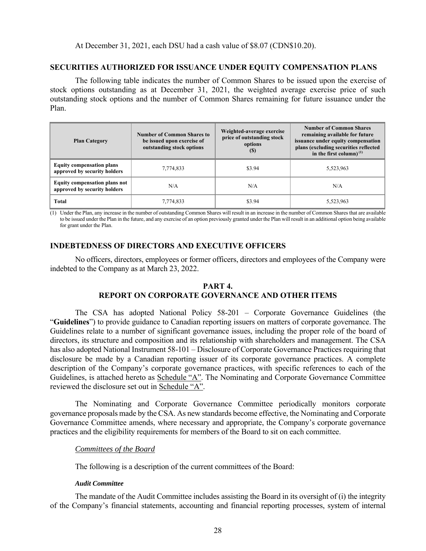### **SECURITIES AUTHORIZED FOR ISSUANCE UNDER EQUITY COMPENSATION PLANS**

The following table indicates the number of Common Shares to be issued upon the exercise of stock options outstanding as at December 31, 2021, the weighted average exercise price of such outstanding stock options and the number of Common Shares remaining for future issuance under the Plan.

| <b>Plan Category</b>                                                 | <b>Number of Common Shares to</b><br>be issued upon exercise of<br>outstanding stock options | Weighted-average exercise<br>price of outstanding stock<br>options<br>(S) | <b>Number of Common Shares</b><br>remaining available for future<br>issuance under equity compensation<br>plans (excluding securities reflected<br>in the first column) $(1)$ |  |
|----------------------------------------------------------------------|----------------------------------------------------------------------------------------------|---------------------------------------------------------------------------|-------------------------------------------------------------------------------------------------------------------------------------------------------------------------------|--|
| <b>Equity compensation plans</b><br>approved by security holders     | 7,774,833                                                                                    | \$3.94                                                                    | 5,523,963                                                                                                                                                                     |  |
| <b>Equity compensation plans not</b><br>approved by security holders | N/A                                                                                          | N/A                                                                       | N/A                                                                                                                                                                           |  |
| Total                                                                | 7,774,833                                                                                    | \$3.94                                                                    | 5,523,963                                                                                                                                                                     |  |

(1) Under the Plan, any increase in the number of outstanding Common Shares will result in an increase in the number of Common Shares that are available to be issued under the Plan in the future, and any exercise of an option previously granted under the Plan will result in an additional option being available for grant under the Plan.

# **INDEBTEDNESS OF DIRECTORS AND EXECUTIVE OFFICERS**

No officers, directors, employees or former officers, directors and employees of the Company were indebted to the Company as at March 23, 2022.

### **PART 4. REPORT ON CORPORATE GOVERNANCE AND OTHER ITEMS**

The CSA has adopted National Policy 58-201 – Corporate Governance Guidelines (the "**Guidelines**") to provide guidance to Canadian reporting issuers on matters of corporate governance. The Guidelines relate to a number of significant governance issues, including the proper role of the board of directors, its structure and composition and its relationship with shareholders and management. The CSA has also adopted National Instrument 58-101 – Disclosure of Corporate Governance Practices requiring that disclosure be made by a Canadian reporting issuer of its corporate governance practices. A complete description of the Company's corporate governance practices, with specific references to each of the Guidelines, is attached hereto as Schedule "A". The Nominating and Corporate Governance Committee reviewed the disclosure set out in Schedule "A".

The Nominating and Corporate Governance Committee periodically monitors corporate governance proposals made by the CSA. As new standards become effective, the Nominating and Corporate Governance Committee amends, where necessary and appropriate, the Company's corporate governance practices and the eligibility requirements for members of the Board to sit on each committee.

#### *Committees of the Board*

The following is a description of the current committees of the Board:

#### *Audit Committee*

The mandate of the Audit Committee includes assisting the Board in its oversight of (i) the integrity of the Company's financial statements, accounting and financial reporting processes, system of internal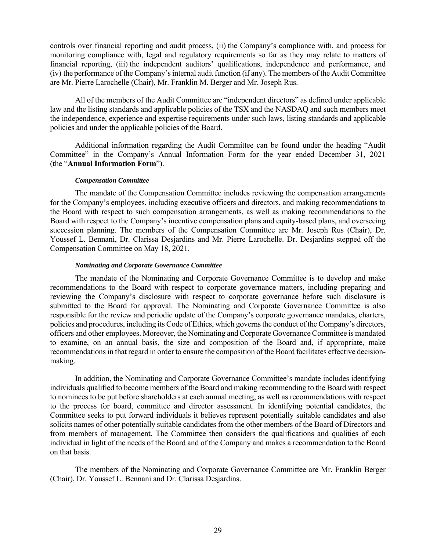controls over financial reporting and audit process, (ii) the Company's compliance with, and process for monitoring compliance with, legal and regulatory requirements so far as they may relate to matters of financial reporting, (iii) the independent auditors' qualifications, independence and performance, and (iv) the performance of the Company's internal audit function (if any). The members of the Audit Committee are Mr. Pierre Larochelle (Chair), Mr. Franklin M. Berger and Mr. Joseph Rus.

All of the members of the Audit Committee are "independent directors" as defined under applicable law and the listing standards and applicable policies of the TSX and the NASDAQ and such members meet the independence, experience and expertise requirements under such laws, listing standards and applicable policies and under the applicable policies of the Board.

Additional information regarding the Audit Committee can be found under the heading "Audit Committee" in the Company's Annual Information Form for the year ended December 31, 2021 (the "**Annual Information Form**").

#### *Compensation Committee*

The mandate of the Compensation Committee includes reviewing the compensation arrangements for the Company's employees, including executive officers and directors, and making recommendations to the Board with respect to such compensation arrangements, as well as making recommendations to the Board with respect to the Company's incentive compensation plans and equity-based plans, and overseeing succession planning. The members of the Compensation Committee are Mr. Joseph Rus (Chair), Dr. Youssef L. Bennani, Dr. Clarissa Desjardins and Mr. Pierre Larochelle. Dr. Desjardins stepped off the Compensation Committee on May 18, 2021.

#### *Nominating and Corporate Governance Committee*

The mandate of the Nominating and Corporate Governance Committee is to develop and make recommendations to the Board with respect to corporate governance matters, including preparing and reviewing the Company's disclosure with respect to corporate governance before such disclosure is submitted to the Board for approval. The Nominating and Corporate Governance Committee is also responsible for the review and periodic update of the Company's corporate governance mandates, charters, policies and procedures, including its Code of Ethics, which governs the conduct of the Company's directors, officers and other employees. Moreover, the Nominating and Corporate Governance Committee is mandated to examine, on an annual basis, the size and composition of the Board and, if appropriate, make recommendations in that regard in order to ensure the composition of the Board facilitates effective decisionmaking.

In addition, the Nominating and Corporate Governance Committee's mandate includes identifying individuals qualified to become members of the Board and making recommending to the Board with respect to nominees to be put before shareholders at each annual meeting, as well as recommendations with respect to the process for board, committee and director assessment. In identifying potential candidates, the Committee seeks to put forward individuals it believes represent potentially suitable candidates and also solicits names of other potentially suitable candidates from the other members of the Board of Directors and from members of management. The Committee then considers the qualifications and qualities of each individual in light of the needs of the Board and of the Company and makes a recommendation to the Board on that basis.

The members of the Nominating and Corporate Governance Committee are Mr. Franklin Berger (Chair), Dr. Youssef L. Bennani and Dr. Clarissa Desjardins.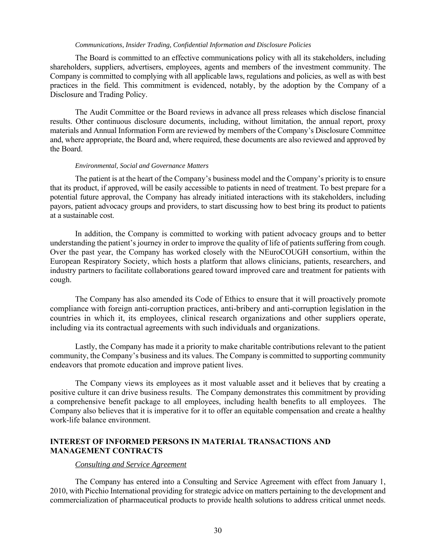#### *Communications, Insider Trading, Confidential Information and Disclosure Policies*

The Board is committed to an effective communications policy with all its stakeholders, including shareholders, suppliers, advertisers, employees, agents and members of the investment community. The Company is committed to complying with all applicable laws, regulations and policies, as well as with best practices in the field. This commitment is evidenced, notably, by the adoption by the Company of a Disclosure and Trading Policy.

The Audit Committee or the Board reviews in advance all press releases which disclose financial results. Other continuous disclosure documents, including, without limitation, the annual report, proxy materials and Annual Information Form are reviewed by members of the Company's Disclosure Committee and, where appropriate, the Board and, where required, these documents are also reviewed and approved by the Board.

#### *Environmental, Social and Governance Matters*

The patient is at the heart of the Company's business model and the Company's priority is to ensure that its product, if approved, will be easily accessible to patients in need of treatment. To best prepare for a potential future approval, the Company has already initiated interactions with its stakeholders, including payors, patient advocacy groups and providers, to start discussing how to best bring its product to patients at a sustainable cost.

In addition, the Company is committed to working with patient advocacy groups and to better understanding the patient's journey in order to improve the quality of life of patients suffering from cough. Over the past year, the Company has worked closely with the NEuroCOUGH consortium, within the European Respiratory Society, which hosts a platform that allows clinicians, patients, researchers, and industry partners to facilitate collaborations geared toward improved care and treatment for patients with cough.

The Company has also amended its Code of Ethics to ensure that it will proactively promote compliance with foreign anti-corruption practices, anti-bribery and anti-corruption legislation in the countries in which it, its employees, clinical research organizations and other suppliers operate, including via its contractual agreements with such individuals and organizations.

Lastly, the Company has made it a priority to make charitable contributions relevant to the patient community, the Company's business and its values. The Company is committed to supporting community endeavors that promote education and improve patient lives.

The Company views its employees as it most valuable asset and it believes that by creating a positive culture it can drive business results. The Company demonstrates this commitment by providing a comprehensive benefit package to all employees, including health benefits to all employees. The Company also believes that it is imperative for it to offer an equitable compensation and create a healthy work-life balance environment.

### **INTEREST OF INFORMED PERSONS IN MATERIAL TRANSACTIONS AND MANAGEMENT CONTRACTS**

#### *Consulting and Service Agreement*

The Company has entered into a Consulting and Service Agreement with effect from January 1, 2010, with Picchio International providing for strategic advice on matters pertaining to the development and commercialization of pharmaceutical products to provide health solutions to address critical unmet needs.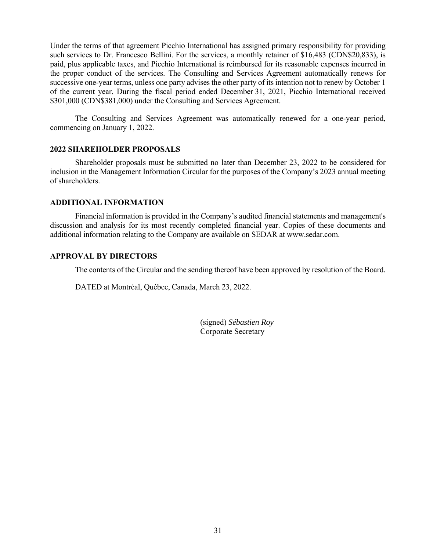Under the terms of that agreement Picchio International has assigned primary responsibility for providing such services to Dr. Francesco Bellini. For the services, a monthly retainer of \$16,483 (CDN\$20,833), is paid, plus applicable taxes, and Picchio International is reimbursed for its reasonable expenses incurred in the proper conduct of the services. The Consulting and Services Agreement automatically renews for successive one-year terms, unless one party advises the other party of its intention not to renew by October 1 of the current year. During the fiscal period ended December 31, 2021, Picchio International received \$301,000 (CDN\$381,000) under the Consulting and Services Agreement.

The Consulting and Services Agreement was automatically renewed for a one-year period, commencing on January 1, 2022.

#### **2022 SHAREHOLDER PROPOSALS**

Shareholder proposals must be submitted no later than December 23, 2022 to be considered for inclusion in the Management Information Circular for the purposes of the Company's 2023 annual meeting of shareholders.

### **ADDITIONAL INFORMATION**

Financial information is provided in the Company's audited financial statements and management's discussion and analysis for its most recently completed financial year. Copies of these documents and additional information relating to the Company are available on SEDAR at www.sedar.com.

#### **APPROVAL BY DIRECTORS**

The contents of the Circular and the sending thereof have been approved by resolution of the Board.

DATED at Montréal, Québec, Canada, March 23, 2022.

(signed) *Sébastien Roy* Corporate Secretary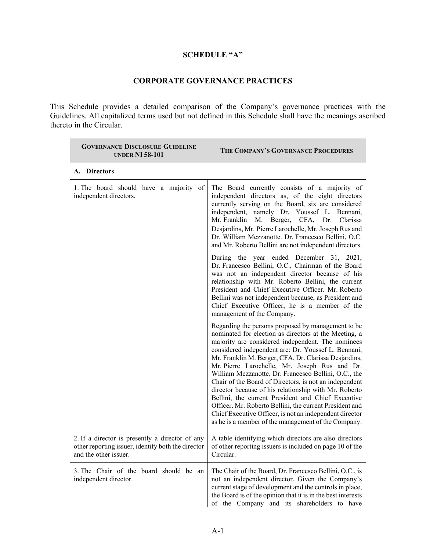# **SCHEDULE "A"**

# **CORPORATE GOVERNANCE PRACTICES**

This Schedule provides a detailed comparison of the Company's governance practices with the Guidelines. All capitalized terms used but not defined in this Schedule shall have the meanings ascribed thereto in the Circular.

| <b>GOVERNANCE DISCLOSURE GUIDELINE</b><br><b>UNDER NI 58-101</b>                                                               | THE COMPANY'S GOVERNANCE PROCEDURES                                                                                                                                                                                                                                                                                                                                                                                                                                                                                                                                                                                                                                                                                                             |
|--------------------------------------------------------------------------------------------------------------------------------|-------------------------------------------------------------------------------------------------------------------------------------------------------------------------------------------------------------------------------------------------------------------------------------------------------------------------------------------------------------------------------------------------------------------------------------------------------------------------------------------------------------------------------------------------------------------------------------------------------------------------------------------------------------------------------------------------------------------------------------------------|
| A. Directors                                                                                                                   |                                                                                                                                                                                                                                                                                                                                                                                                                                                                                                                                                                                                                                                                                                                                                 |
| 1. The board should have a majority of<br>independent directors.                                                               | The Board currently consists of a majority of<br>independent directors as, of the eight directors<br>currently serving on the Board, six are considered<br>independent, namely Dr. Youssef L. Bennani,<br>Mr. Franklin<br>M. Berger, CFA, Dr. Clarissa<br>Desjardins, Mr. Pierre Larochelle, Mr. Joseph Rus and<br>Dr. William Mezzanotte. Dr. Francesco Bellini, O.C.<br>and Mr. Roberto Bellini are not independent directors.                                                                                                                                                                                                                                                                                                                |
|                                                                                                                                | During the year ended December 31, 2021,<br>Dr. Francesco Bellini, O.C., Chairman of the Board<br>was not an independent director because of his<br>relationship with Mr. Roberto Bellini, the current<br>President and Chief Executive Officer. Mr. Roberto<br>Bellini was not independent because, as President and<br>Chief Executive Officer, he is a member of the<br>management of the Company.                                                                                                                                                                                                                                                                                                                                           |
|                                                                                                                                | Regarding the persons proposed by management to be<br>nominated for election as directors at the Meeting, a<br>majority are considered independent. The nominees<br>considered independent are: Dr. Youssef L. Bennani,<br>Mr. Franklin M. Berger, CFA, Dr. Clarissa Desjardins,<br>Mr. Pierre Larochelle, Mr. Joseph Rus and Dr.<br>William Mezzanotte. Dr. Francesco Bellini, O.C., the<br>Chair of the Board of Directors, is not an independent<br>director because of his relationship with Mr. Roberto<br>Bellini, the current President and Chief Executive<br>Officer. Mr. Roberto Bellini, the current President and<br>Chief Executive Officer, is not an independent director<br>as he is a member of the management of the Company. |
| 2. If a director is presently a director of any<br>other reporting issuer, identify both the director<br>and the other issuer. | A table identifying which directors are also directors<br>of other reporting issuers is included on page 10 of the<br>Circular.                                                                                                                                                                                                                                                                                                                                                                                                                                                                                                                                                                                                                 |
| 3. The Chair of the board should be an<br>independent director.                                                                | The Chair of the Board, Dr. Francesco Bellini, O.C., is<br>not an independent director. Given the Company's<br>current stage of development and the controls in place,<br>the Board is of the opinion that it is in the best interests<br>of the Company and its shareholders to have                                                                                                                                                                                                                                                                                                                                                                                                                                                           |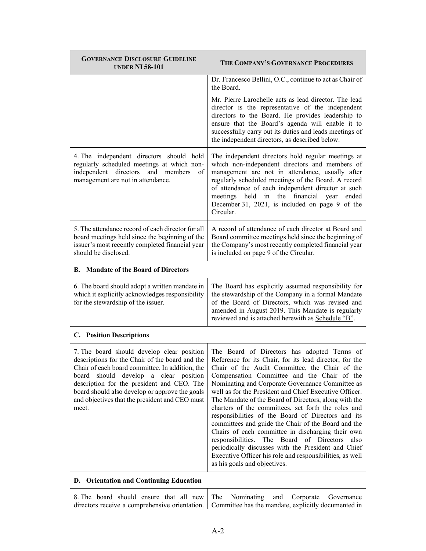| <b>GOVERNANCE DISCLOSURE GUIDELINE</b><br><b>UNDER NI 58-101</b>                                                                                                                                                                                                                                                                                                 | THE COMPANY'S GOVERNANCE PROCEDURES                                                                                                                                                                                                                                                                                                                                                                                                                                                                                                                                                                                                                                                                                                                                                                            |
|------------------------------------------------------------------------------------------------------------------------------------------------------------------------------------------------------------------------------------------------------------------------------------------------------------------------------------------------------------------|----------------------------------------------------------------------------------------------------------------------------------------------------------------------------------------------------------------------------------------------------------------------------------------------------------------------------------------------------------------------------------------------------------------------------------------------------------------------------------------------------------------------------------------------------------------------------------------------------------------------------------------------------------------------------------------------------------------------------------------------------------------------------------------------------------------|
|                                                                                                                                                                                                                                                                                                                                                                  | Dr. Francesco Bellini, O.C., continue to act as Chair of<br>the Board.                                                                                                                                                                                                                                                                                                                                                                                                                                                                                                                                                                                                                                                                                                                                         |
|                                                                                                                                                                                                                                                                                                                                                                  | Mr. Pierre Larochelle acts as lead director. The lead<br>director is the representative of the independent<br>directors to the Board. He provides leadership to<br>ensure that the Board's agenda will enable it to<br>successfully carry out its duties and leads meetings of<br>the independent directors, as described below.                                                                                                                                                                                                                                                                                                                                                                                                                                                                               |
| 4. The independent directors should hold<br>regularly scheduled meetings at which non-<br>independent<br>directors<br>and members<br>of<br>management are not in attendance.                                                                                                                                                                                     | The independent directors hold regular meetings at<br>which non-independent directors and members of<br>management are not in attendance, usually after<br>regularly scheduled meetings of the Board. A record<br>of attendance of each independent director at such<br>meetings held<br>financial<br>in<br>the<br>year<br>ended<br>December 31, 2021, is included on page 9 of the<br>Circular.                                                                                                                                                                                                                                                                                                                                                                                                               |
| 5. The attendance record of each director for all<br>board meetings held since the beginning of the<br>issuer's most recently completed financial year<br>should be disclosed.                                                                                                                                                                                   | A record of attendance of each director at Board and<br>Board committee meetings held since the beginning of<br>the Company's most recently completed financial year<br>is included on page 9 of the Circular.                                                                                                                                                                                                                                                                                                                                                                                                                                                                                                                                                                                                 |
| <b>B.</b> Mandate of the Board of Directors                                                                                                                                                                                                                                                                                                                      |                                                                                                                                                                                                                                                                                                                                                                                                                                                                                                                                                                                                                                                                                                                                                                                                                |
| 6. The board should adopt a written mandate in<br>which it explicitly acknowledges responsibility<br>for the stewardship of the issuer.                                                                                                                                                                                                                          | The Board has explicitly assumed responsibility for<br>the stewardship of the Company in a formal Mandate<br>of the Board of Directors, which was revised and<br>amended in August 2019. This Mandate is regularly<br>reviewed and is attached herewith as Schedule "B".                                                                                                                                                                                                                                                                                                                                                                                                                                                                                                                                       |
| <b>C.</b> Position Descriptions                                                                                                                                                                                                                                                                                                                                  |                                                                                                                                                                                                                                                                                                                                                                                                                                                                                                                                                                                                                                                                                                                                                                                                                |
| 7. The board should develop clear position<br>descriptions for the Chair of the board and the<br>Chair of each board committee. In addition, the<br>should<br>develop<br>a clear<br>position<br>board<br>description for the president and CEO. The<br>board should also develop or approve the goals<br>and objectives that the president and CEO must<br>meet. | The Board of Directors has adopted Terms of<br>Reference for its Chair, for its lead director, for the<br>Chair of the Audit Committee, the Chair of the<br>Compensation Committee and the Chair of the<br>Nominating and Corporate Governance Committee as<br>well as for the President and Chief Executive Officer.<br>The Mandate of the Board of Directors, along with the<br>charters of the committees, set forth the roles and<br>responsibilities of the Board of Directors and its<br>committees and guide the Chair of the Board and the<br>Chairs of each committee in discharging their own<br>responsibilities. The Board of Directors<br>also<br>periodically discusses with the President and Chief<br>Executive Officer his role and responsibilities, as well<br>as his goals and objectives. |
|                                                                                                                                                                                                                                                                                                                                                                  |                                                                                                                                                                                                                                                                                                                                                                                                                                                                                                                                                                                                                                                                                                                                                                                                                |

#### **D. Orientation and Continuing Education**

|  |  |  |  |  | 8. The board should ensure that all new The Nominating and Corporate Governance                    |
|--|--|--|--|--|----------------------------------------------------------------------------------------------------|
|  |  |  |  |  | directors receive a comprehensive orientation. Committee has the mandate, explicitly documented in |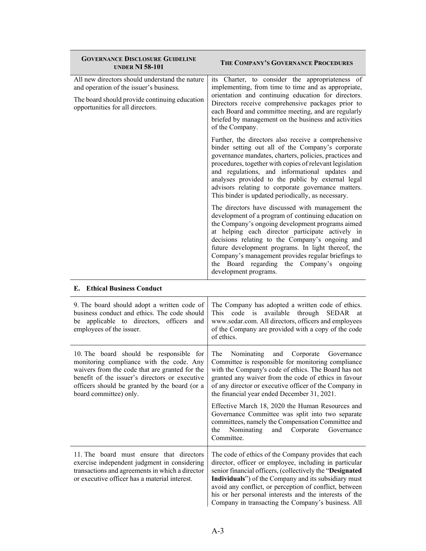| <b>GOVERNANCE DISCLOSURE GUIDELINE</b><br><b>UNDER NI 58-101</b>                                                                                                                                                                                                   | THE COMPANY'S GOVERNANCE PROCEDURES                                                                                                                                                                                                                                                                                                                                                                                                                  |
|--------------------------------------------------------------------------------------------------------------------------------------------------------------------------------------------------------------------------------------------------------------------|------------------------------------------------------------------------------------------------------------------------------------------------------------------------------------------------------------------------------------------------------------------------------------------------------------------------------------------------------------------------------------------------------------------------------------------------------|
| All new directors should understand the nature<br>and operation of the issuer's business.<br>The board should provide continuing education<br>opportunities for all directors.                                                                                     | its Charter, to consider the appropriateness of<br>implementing, from time to time and as appropriate,<br>orientation and continuing education for directors.<br>Directors receive comprehensive packages prior to<br>each Board and committee meeting, and are regularly<br>briefed by management on the business and activities<br>of the Company.                                                                                                 |
|                                                                                                                                                                                                                                                                    | Further, the directors also receive a comprehensive<br>binder setting out all of the Company's corporate<br>governance mandates, charters, policies, practices and<br>procedures, together with copies of relevant legislation<br>and regulations, and informational updates and<br>analyses provided to the public by external legal<br>advisors relating to corporate governance matters.<br>This binder is updated periodically, as necessary.    |
|                                                                                                                                                                                                                                                                    | The directors have discussed with management the<br>development of a program of continuing education on<br>the Company's ongoing development programs aimed<br>at helping each director participate actively in<br>decisions relating to the Company's ongoing and<br>future development programs. In light thereof, the<br>Company's management provides regular briefings to<br>the Board regarding the Company's ongoing<br>development programs. |
| <b>E.</b> Ethical Business Conduct                                                                                                                                                                                                                                 |                                                                                                                                                                                                                                                                                                                                                                                                                                                      |
| 9. The board should adopt a written code of<br>business conduct and ethics. The code should<br>be applicable to directors, officers and<br>employees of the issuer.                                                                                                | The Company has adopted a written code of ethics.<br>available<br>This<br>code is<br>through<br>SEDAR<br>at<br>www.sedar.com. All directors, officers and employees<br>of the Company are provided with a copy of the code<br>of ethics.                                                                                                                                                                                                             |
| 10. The board should be responsible for<br>monitoring compliance with the code. Any<br>waivers from the code that are granted for the<br>benefit of the issuer's directors or executive<br>officers should be granted by the board (or a<br>board committee) only. | The<br>Nominating<br>Corporate<br>and<br>Governance<br>Committee is responsible for monitoring compliance<br>with the Company's code of ethics. The Board has not<br>granted any waiver from the code of ethics in favour<br>of any director or executive officer of the Company in<br>the financial year ended December 31, 2021.                                                                                                                   |
|                                                                                                                                                                                                                                                                    | Effective March 18, 2020 the Human Resources and<br>Governance Committee was split into two separate<br>committees, namely the Compensation Committee and<br>the<br>Nominating<br>and<br>Corporate<br>Governance<br>Committee.                                                                                                                                                                                                                       |
| 11. The board must ensure that directors<br>exercise independent judgment in considering<br>transactions and agreements in which a director<br>or executive officer has a material interest.                                                                       | The code of ethics of the Company provides that each<br>director, officer or employee, including in particular<br>senior financial officers, (collectively the "Designated<br>Individuals") of the Company and its subsidiary must<br>avoid any conflict, or perception of conflict, between<br>his or her personal interests and the interests of the<br>Company in transacting the Company's business. All                                         |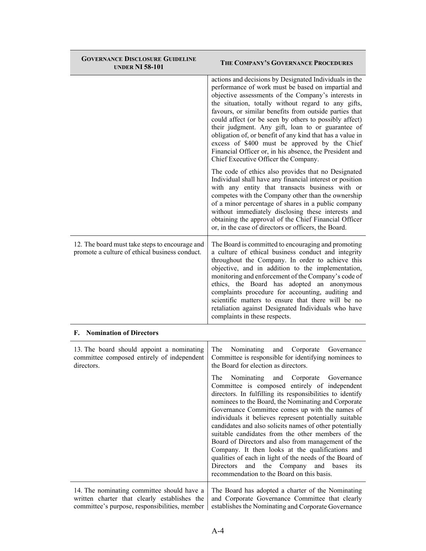| <b>GOVERNANCE DISCLOSURE GUIDELINE</b><br><b>UNDER NI 58-101</b>                                                                            | THE COMPANY'S GOVERNANCE PROCEDURES                                                                                                                                                                                                                                                                                                                                                                                                                                                                                                                                                                                                                                                                                             |
|---------------------------------------------------------------------------------------------------------------------------------------------|---------------------------------------------------------------------------------------------------------------------------------------------------------------------------------------------------------------------------------------------------------------------------------------------------------------------------------------------------------------------------------------------------------------------------------------------------------------------------------------------------------------------------------------------------------------------------------------------------------------------------------------------------------------------------------------------------------------------------------|
|                                                                                                                                             | actions and decisions by Designated Individuals in the<br>performance of work must be based on impartial and<br>objective assessments of the Company's interests in<br>the situation, totally without regard to any gifts,<br>favours, or similar benefits from outside parties that<br>could affect (or be seen by others to possibly affect)<br>their judgment. Any gift, loan to or guarantee of<br>obligation of, or benefit of any kind that has a value in<br>excess of \$400 must be approved by the Chief<br>Financial Officer or, in his absence, the President and<br>Chief Executive Officer the Company.                                                                                                            |
|                                                                                                                                             | The code of ethics also provides that no Designated<br>Individual shall have any financial interest or position<br>with any entity that transacts business with or<br>competes with the Company other than the ownership<br>of a minor percentage of shares in a public company<br>without immediately disclosing these interests and<br>obtaining the approval of the Chief Financial Officer<br>or, in the case of directors or officers, the Board.                                                                                                                                                                                                                                                                          |
| 12. The board must take steps to encourage and<br>promote a culture of ethical business conduct.                                            | The Board is committed to encouraging and promoting<br>a culture of ethical business conduct and integrity<br>throughout the Company. In order to achieve this<br>objective, and in addition to the implementation,<br>monitoring and enforcement of the Company's code of<br>ethics, the Board has adopted an anonymous<br>complaints procedure for accounting, auditing and<br>scientific matters to ensure that there will be no<br>retaliation against Designated Individuals who have<br>complaints in these respects.                                                                                                                                                                                                     |
| <b>F.</b> Nomination of Directors                                                                                                           |                                                                                                                                                                                                                                                                                                                                                                                                                                                                                                                                                                                                                                                                                                                                 |
| 13. The board should appoint a nominating<br>committee composed entirely of independent<br>directors.                                       | The<br>Nominating<br>and<br>Corporate<br>Governance<br>Committee is responsible for identifying nominees to<br>the Board for election as directors.                                                                                                                                                                                                                                                                                                                                                                                                                                                                                                                                                                             |
|                                                                                                                                             | Nominating<br>Corporate Governance<br>The<br>and<br>Committee is composed entirely of independent<br>directors. In fulfilling its responsibilities to identify<br>nominees to the Board, the Nominating and Corporate<br>Governance Committee comes up with the names of<br>individuals it believes represent potentially suitable<br>candidates and also solicits names of other potentially<br>suitable candidates from the other members of the<br>Board of Directors and also from management of the<br>Company. It then looks at the qualifications and<br>qualities of each in light of the needs of the Board of<br>the Company<br>and<br>Directors<br>and<br>bases<br>its<br>recommendation to the Board on this basis. |
| 14. The nominating committee should have a<br>written charter that clearly establishes the<br>committee's purpose, responsibilities, member | The Board has adopted a charter of the Nominating<br>and Corporate Governance Committee that clearly<br>establishes the Nominating and Corporate Governance                                                                                                                                                                                                                                                                                                                                                                                                                                                                                                                                                                     |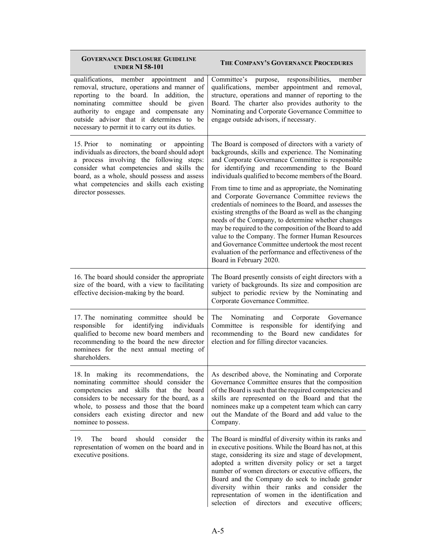| <b>GOVERNANCE DISCLOSURE GUIDELINE</b><br><b>UNDER NI 58-101</b>                                                                                                                                                                                                                                                    | THE COMPANY'S GOVERNANCE PROCEDURES                                                                                                                                                                                                                                                                                                                                                                                                                                                                                                        |
|---------------------------------------------------------------------------------------------------------------------------------------------------------------------------------------------------------------------------------------------------------------------------------------------------------------------|--------------------------------------------------------------------------------------------------------------------------------------------------------------------------------------------------------------------------------------------------------------------------------------------------------------------------------------------------------------------------------------------------------------------------------------------------------------------------------------------------------------------------------------------|
| qualifications, member appointment and<br>removal, structure, operations and manner of<br>reporting to the board. In addition, the<br>nominating committee should be given<br>authority to engage and compensate any<br>outside advisor that it determines to be<br>necessary to permit it to carry out its duties. | Committee's<br>purpose, responsibilities,<br>member<br>qualifications, member appointment and removal,<br>structure, operations and manner of reporting to the<br>Board. The charter also provides authority to the<br>Nominating and Corporate Governance Committee to<br>engage outside advisors, if necessary.                                                                                                                                                                                                                          |
| nominating<br>15. Prior<br>appointing<br>to<br>or<br>individuals as directors, the board should adopt<br>a process involving the following steps:<br>consider what competencies and skills the<br>board, as a whole, should possess and assess<br>what competencies and skills each existing                        | The Board is composed of directors with a variety of<br>backgrounds, skills and experience. The Nominating<br>and Corporate Governance Committee is responsible<br>for identifying and recommending to the Board<br>individuals qualified to become members of the Board.                                                                                                                                                                                                                                                                  |
| director possesses.                                                                                                                                                                                                                                                                                                 | From time to time and as appropriate, the Nominating<br>and Corporate Governance Committee reviews the<br>credentials of nominees to the Board, and assesses the<br>existing strengths of the Board as well as the changing<br>needs of the Company, to determine whether changes<br>may be required to the composition of the Board to add<br>value to the Company. The former Human Resources<br>and Governance Committee undertook the most recent<br>evaluation of the performance and effectiveness of the<br>Board in February 2020. |
| 16. The board should consider the appropriate<br>size of the board, with a view to facilitating<br>effective decision-making by the board.                                                                                                                                                                          | The Board presently consists of eight directors with a<br>variety of backgrounds. Its size and composition are<br>subject to periodic review by the Nominating and<br>Corporate Governance Committee.                                                                                                                                                                                                                                                                                                                                      |
| 17. The nominating committee should be<br>identifying<br>responsible<br>for<br>individuals<br>qualified to become new board members and<br>recommending to the board the new director<br>nominees for the next annual meeting of<br>shareholders.                                                                   | Nominating and<br>Corporate Governance<br>The<br>Committee is responsible for identifying<br>and<br>recommending to the Board new candidates for<br>election and for filling director vacancies.                                                                                                                                                                                                                                                                                                                                           |
| 18. In making its recommendations,<br>the<br>nominating committee should consider the<br>competencies and skills that the board<br>considers to be necessary for the board, as a<br>whole, to possess and those that the board<br>considers each existing director and new<br>nominee to possess.                   | As described above, the Nominating and Corporate<br>Governance Committee ensures that the composition<br>of the Board is such that the required competencies and<br>skills are represented on the Board and that the<br>nominees make up a competent team which can carry<br>out the Mandate of the Board and add value to the<br>Company.                                                                                                                                                                                                 |
| should<br>consider<br>the<br>19.<br>The<br>board<br>representation of women on the board and in<br>executive positions.                                                                                                                                                                                             | The Board is mindful of diversity within its ranks and<br>in executive positions. While the Board has not, at this<br>stage, considering its size and stage of development,<br>adopted a written diversity policy or set a target<br>number of women directors or executive officers, the<br>Board and the Company do seek to include gender<br>diversity within their ranks and consider the<br>representation of women in the identification and<br>selection of directors and executive<br>officers;                                    |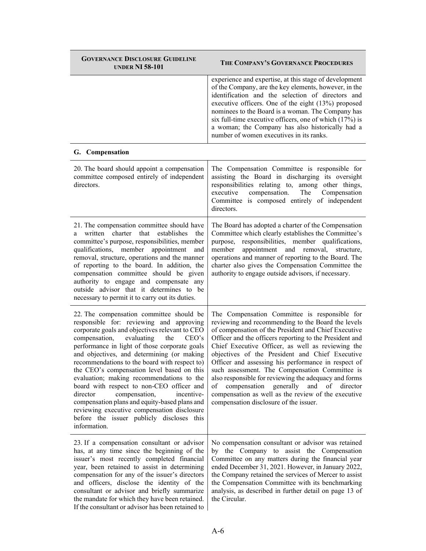| <b>GOVERNANCE DISCLOSURE GUIDELINE</b><br><b>UNDER NI 58-101</b>                                                                                                                                                                                                                                                                                                                                                                                                                                                                                                                                                                                                                      | THE COMPANY'S GOVERNANCE PROCEDURES                                                                                                                                                                                                                                                                                                                                                                                                                                                                                                                                                                                                               |
|---------------------------------------------------------------------------------------------------------------------------------------------------------------------------------------------------------------------------------------------------------------------------------------------------------------------------------------------------------------------------------------------------------------------------------------------------------------------------------------------------------------------------------------------------------------------------------------------------------------------------------------------------------------------------------------|---------------------------------------------------------------------------------------------------------------------------------------------------------------------------------------------------------------------------------------------------------------------------------------------------------------------------------------------------------------------------------------------------------------------------------------------------------------------------------------------------------------------------------------------------------------------------------------------------------------------------------------------------|
|                                                                                                                                                                                                                                                                                                                                                                                                                                                                                                                                                                                                                                                                                       | experience and expertise, at this stage of development<br>of the Company, are the key elements, however, in the<br>identification and the selection of directors and<br>executive officers. One of the eight (13%) proposed<br>nominees to the Board is a woman. The Company has<br>six full-time executive officers, one of which $(17%)$ is<br>a woman; the Company has also historically had a<br>number of women executives in its ranks.                                                                                                                                                                                                     |
| G. Compensation                                                                                                                                                                                                                                                                                                                                                                                                                                                                                                                                                                                                                                                                       |                                                                                                                                                                                                                                                                                                                                                                                                                                                                                                                                                                                                                                                   |
| 20. The board should appoint a compensation<br>committee composed entirely of independent<br>directors.                                                                                                                                                                                                                                                                                                                                                                                                                                                                                                                                                                               | The Compensation Committee is responsible for<br>assisting the Board in discharging its oversight<br>responsibilities relating to, among other things,<br>executive<br>compensation.<br>The<br>Compensation<br>Committee is composed entirely of independent<br>directors.                                                                                                                                                                                                                                                                                                                                                                        |
| 21. The compensation committee should have<br>written charter<br>that<br>establishes<br>the<br>a i<br>committee's purpose, responsibilities, member<br>qualifications, member appointment<br>and<br>removal, structure, operations and the manner<br>of reporting to the board. In addition, the<br>compensation committee should be given<br>authority to engage and compensate any<br>outside advisor that it determines to be<br>necessary to permit it to carry out its duties.                                                                                                                                                                                                   | The Board has adopted a charter of the Compensation<br>Committee which clearly establishes the Committee's<br>responsibilities, member qualifications,<br>purpose,<br>appointment and removal,<br>member<br>structure.<br>operations and manner of reporting to the Board. The<br>charter also gives the Compensation Committee the<br>authority to engage outside advisors, if necessary.                                                                                                                                                                                                                                                        |
| 22. The compensation committee should be<br>responsible for: reviewing and approving<br>corporate goals and objectives relevant to CEO<br>evaluating<br>compensation,<br>CEO's<br>the<br>performance in light of those corporate goals<br>and objectives, and determining (or making<br>recommendations to the board with respect to)<br>the CEO's compensation level based on this<br>evaluation; making recommendations to the<br>board with respect to non-CEO officer and<br>director<br>compensation,<br>incentive-<br>compensation plans and equity-based plans and<br>reviewing executive compensation disclosure<br>before the issuer publicly discloses this<br>information. | The Compensation Committee is responsible for<br>reviewing and recommending to the Board the levels<br>of compensation of the President and Chief Executive<br>Officer and the officers reporting to the President and<br>Chief Executive Officer, as well as reviewing the<br>objectives of the President and Chief Executive<br>Officer and assessing his performance in respect of<br>such assessment. The Compensation Committee is<br>also responsible for reviewing the adequacy and forms<br>compensation generally and of director<br>of<br>compensation as well as the review of the executive<br>compensation disclosure of the issuer. |
| 23. If a compensation consultant or advisor<br>has, at any time since the beginning of the<br>issuer's most recently completed financial<br>year, been retained to assist in determining<br>compensation for any of the issuer's directors<br>and officers, disclose the identity of the<br>consultant or advisor and briefly summarize<br>the mandate for which they have been retained.<br>If the consultant or advisor has been retained to                                                                                                                                                                                                                                        | No compensation consultant or advisor was retained<br>by the Company to assist the Compensation<br>Committee on any matters during the financial year<br>ended December 31, 2021. However, in January 2022,<br>the Company retained the services of Mercer to assist<br>the Compensation Committee with its benchmarking<br>analysis, as described in further detail on page 13 of<br>the Circular.                                                                                                                                                                                                                                               |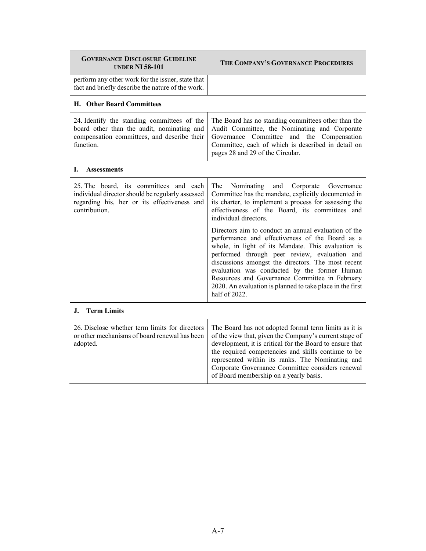| <b>GOVERNANCE DISCLOSURE GUIDELINE</b><br><b>UNDER NI 58-101</b>                                                                                           | THE COMPANY'S GOVERNANCE PROCEDURES                                                                                                                                                                                                                                                                                                                                                                                                                  |
|------------------------------------------------------------------------------------------------------------------------------------------------------------|------------------------------------------------------------------------------------------------------------------------------------------------------------------------------------------------------------------------------------------------------------------------------------------------------------------------------------------------------------------------------------------------------------------------------------------------------|
| perform any other work for the issuer, state that<br>fact and briefly describe the nature of the work.                                                     |                                                                                                                                                                                                                                                                                                                                                                                                                                                      |
| H. Other Board Committees                                                                                                                                  |                                                                                                                                                                                                                                                                                                                                                                                                                                                      |
| 24. Identify the standing committees of the<br>board other than the audit, nominating and<br>compensation committees, and describe their<br>function.      | The Board has no standing committees other than the<br>Audit Committee, the Nominating and Corporate<br>Governance Committee and the Compensation<br>Committee, each of which is described in detail on<br>pages 28 and 29 of the Circular.                                                                                                                                                                                                          |
| L.<br><b>Assessments</b>                                                                                                                                   |                                                                                                                                                                                                                                                                                                                                                                                                                                                      |
| 25. The board, its committees and each<br>individual director should be regularly assessed<br>regarding his, her or its effectiveness and<br>contribution. | The<br>Corporate Governance<br>Nominating<br>and<br>Committee has the mandate, explicitly documented in<br>its charter, to implement a process for assessing the<br>effectiveness of the Board, its committees and<br>individual directors.                                                                                                                                                                                                          |
|                                                                                                                                                            | Directors aim to conduct an annual evaluation of the<br>performance and effectiveness of the Board as a<br>whole, in light of its Mandate. This evaluation is<br>performed through peer review, evaluation and<br>discussions amongst the directors. The most recent<br>evaluation was conducted by the former Human<br>Resources and Governance Committee in February<br>2020. An evaluation is planned to take place in the first<br>half of 2022. |
| J. Term Limits                                                                                                                                             |                                                                                                                                                                                                                                                                                                                                                                                                                                                      |
| 26. Disclose whether term limits for directors<br>or other mechanisms of board renewal has been<br>adopted.                                                | The Board has not adopted formal term limits as it is<br>of the view that, given the Company's current stage of<br>development, it is critical for the Board to ensure that<br>the required competencies and skills continue to be<br>represented within its ranks. The Nominating and<br>Corporate Governance Committee considers renewal<br>of Board membership on a yearly basis.                                                                 |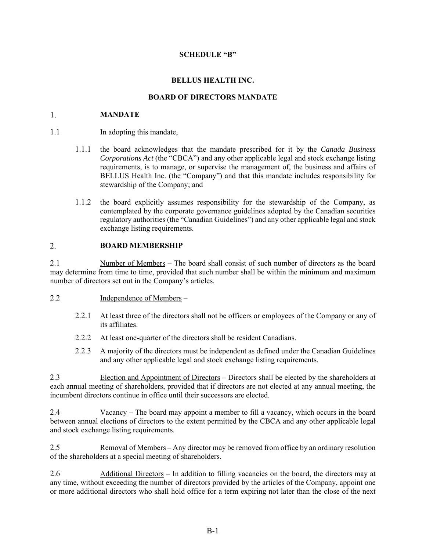#### **SCHEDULE "B"**

### **BELLUS HEALTH INC.**

#### **BOARD OF DIRECTORS MANDATE**

#### 1. **MANDATE**

- 1.1 In adopting this mandate,
	- 1.1.1 the board acknowledges that the mandate prescribed for it by the *Canada Business Corporations Act* (the "CBCA") and any other applicable legal and stock exchange listing requirements, is to manage, or supervise the management of, the business and affairs of BELLUS Health Inc. (the "Company") and that this mandate includes responsibility for stewardship of the Company; and
	- 1.1.2 the board explicitly assumes responsibility for the stewardship of the Company, as contemplated by the corporate governance guidelines adopted by the Canadian securities regulatory authorities (the "Canadian Guidelines") and any other applicable legal and stock exchange listing requirements.

#### 2. **BOARD MEMBERSHIP**

2.1 Number of Members – The board shall consist of such number of directors as the board may determine from time to time, provided that such number shall be within the minimum and maximum number of directors set out in the Company's articles.

#### 2.2 Independence of Members –

- 2.2.1 At least three of the directors shall not be officers or employees of the Company or any of its affiliates.
- 2.2.2 At least one-quarter of the directors shall be resident Canadians.
- 2.2.3 A majority of the directors must be independent as defined under the Canadian Guidelines and any other applicable legal and stock exchange listing requirements.

2.3 Election and Appointment of Directors – Directors shall be elected by the shareholders at each annual meeting of shareholders, provided that if directors are not elected at any annual meeting, the incumbent directors continue in office until their successors are elected.

2.4 Vacancy – The board may appoint a member to fill a vacancy, which occurs in the board between annual elections of directors to the extent permitted by the CBCA and any other applicable legal and stock exchange listing requirements.

2.5 Removal of Members – Any director may be removed from office by an ordinary resolution of the shareholders at a special meeting of shareholders.

2.6 Additional Directors - In addition to filling vacancies on the board, the directors may at any time, without exceeding the number of directors provided by the articles of the Company, appoint one or more additional directors who shall hold office for a term expiring not later than the close of the next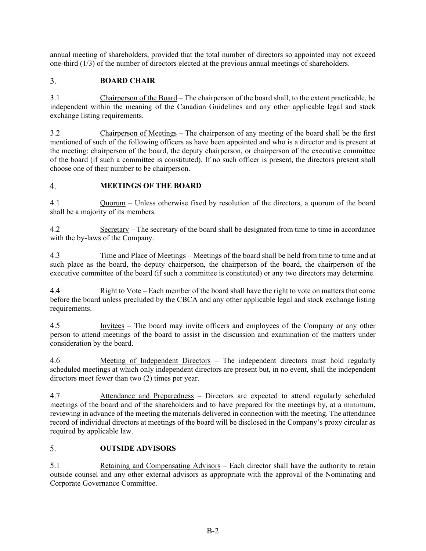annual meeting of shareholders, provided that the total number of directors so appointed may not exceed one-third (1/3) of the number of directors elected at the previous annual meetings of shareholders.

#### $3<sub>1</sub>$ **BOARD CHAIR**

3.1 Chairperson of the Board – The chairperson of the board shall, to the extent practicable, be independent within the meaning of the Canadian Guidelines and any other applicable legal and stock exchange listing requirements.

3.2 Chairperson of Meetings – The chairperson of any meeting of the board shall be the first mentioned of such of the following officers as have been appointed and who is a director and is present at the meeting: chairperson of the board, the deputy chairperson, or chairperson of the executive committee of the board (if such a committee is constituted). If no such officer is present, the directors present shall choose one of their number to be chairperson.

#### **MEETINGS OF THE BOARD**   $\overline{4}$ .

4.1 Quorum – Unless otherwise fixed by resolution of the directors, a quorum of the board shall be a majority of its members.

4.2 Secretary – The secretary of the board shall be designated from time to time in accordance with the by-laws of the Company.

4.3 Time and Place of Meetings – Meetings of the board shall be held from time to time and at such place as the board, the deputy chairperson, the chairperson of the board, the chairperson of the executive committee of the board (if such a committee is constituted) or any two directors may determine.

4.4 Right to Vote – Each member of the board shall have the right to vote on matters that come before the board unless precluded by the CBCA and any other applicable legal and stock exchange listing requirements.

4.5 Invitees – The board may invite officers and employees of the Company or any other person to attend meetings of the board to assist in the discussion and examination of the matters under consideration by the board.

4.6 Meeting of Independent Directors – The independent directors must hold regularly scheduled meetings at which only independent directors are present but, in no event, shall the independent directors meet fewer than two (2) times per year.

4.7 Attendance and Preparedness – Directors are expected to attend regularly scheduled meetings of the board and of the shareholders and to have prepared for the meetings by, at a minimum, reviewing in advance of the meeting the materials delivered in connection with the meeting. The attendance record of individual directors at meetings of the board will be disclosed in the Company's proxy circular as required by applicable law.

#### 5. **OUTSIDE ADVISORS**

5.1 Retaining and Compensating Advisors – Each director shall have the authority to retain outside counsel and any other external advisors as appropriate with the approval of the Nominating and Corporate Governance Committee.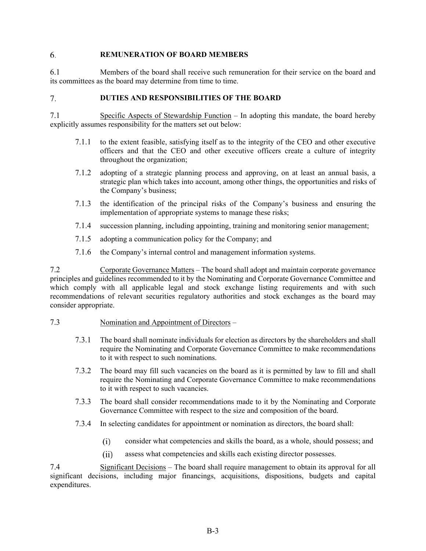#### 6. **REMUNERATION OF BOARD MEMBERS**

6.1 Members of the board shall receive such remuneration for their service on the board and its committees as the board may determine from time to time.

#### **DUTIES AND RESPONSIBILITIES OF THE BOARD**  7.

7.1 Specific Aspects of Stewardship Function – In adopting this mandate, the board hereby explicitly assumes responsibility for the matters set out below:

- 7.1.1 to the extent feasible, satisfying itself as to the integrity of the CEO and other executive officers and that the CEO and other executive officers create a culture of integrity throughout the organization;
- 7.1.2 adopting of a strategic planning process and approving, on at least an annual basis, a strategic plan which takes into account, among other things, the opportunities and risks of the Company's business;
- 7.1.3 the identification of the principal risks of the Company's business and ensuring the implementation of appropriate systems to manage these risks;
- 7.1.4 succession planning, including appointing, training and monitoring senior management;
- 7.1.5 adopting a communication policy for the Company; and
- 7.1.6 the Company's internal control and management information systems.

7.2 Corporate Governance Matters – The board shall adopt and maintain corporate governance principles and guidelines recommended to it by the Nominating and Corporate Governance Committee and which comply with all applicable legal and stock exchange listing requirements and with such recommendations of relevant securities regulatory authorities and stock exchanges as the board may consider appropriate.

#### 7.3 Nomination and Appointment of Directors –

- 7.3.1 The board shall nominate individuals for election as directors by the shareholders and shall require the Nominating and Corporate Governance Committee to make recommendations to it with respect to such nominations.
- 7.3.2 The board may fill such vacancies on the board as it is permitted by law to fill and shall require the Nominating and Corporate Governance Committee to make recommendations to it with respect to such vacancies.
- 7.3.3 The board shall consider recommendations made to it by the Nominating and Corporate Governance Committee with respect to the size and composition of the board.
- 7.3.4 In selecting candidates for appointment or nomination as directors, the board shall:
	- $(i)$ consider what competencies and skills the board, as a whole, should possess; and
	- $(ii)$ assess what competencies and skills each existing director possesses.

7.4 Significant Decisions – The board shall require management to obtain its approval for all significant decisions, including major financings, acquisitions, dispositions, budgets and capital expenditures.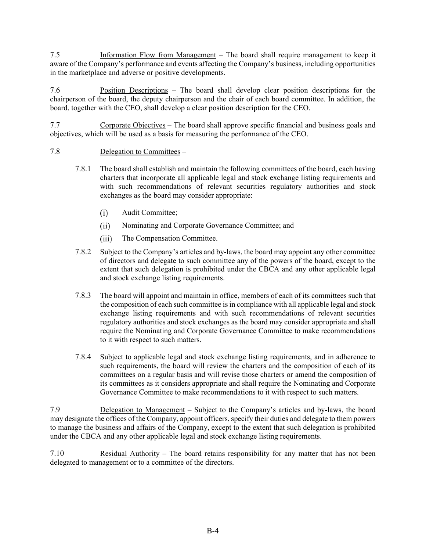7.5 Information Flow from Management – The board shall require management to keep it aware of the Company's performance and events affecting the Company's business, including opportunities in the marketplace and adverse or positive developments.

7.6 Position Descriptions – The board shall develop clear position descriptions for the chairperson of the board, the deputy chairperson and the chair of each board committee. In addition, the board, together with the CEO, shall develop a clear position description for the CEO.

7.7 Corporate Objectives – The board shall approve specific financial and business goals and objectives, which will be used as a basis for measuring the performance of the CEO.

# 7.8 Delegation to Committees –

- 7.8.1 The board shall establish and maintain the following committees of the board, each having charters that incorporate all applicable legal and stock exchange listing requirements and with such recommendations of relevant securities regulatory authorities and stock exchanges as the board may consider appropriate:
	- Audit Committee;  $(i)$
	- $(ii)$ Nominating and Corporate Governance Committee; and
	- $(iii)$ The Compensation Committee.
- 7.8.2 Subject to the Company's articles and by-laws, the board may appoint any other committee of directors and delegate to such committee any of the powers of the board, except to the extent that such delegation is prohibited under the CBCA and any other applicable legal and stock exchange listing requirements.
- 7.8.3 The board will appoint and maintain in office, members of each of its committees such that the composition of each such committee is in compliance with all applicable legal and stock exchange listing requirements and with such recommendations of relevant securities regulatory authorities and stock exchanges as the board may consider appropriate and shall require the Nominating and Corporate Governance Committee to make recommendations to it with respect to such matters.
- 7.8.4 Subject to applicable legal and stock exchange listing requirements, and in adherence to such requirements, the board will review the charters and the composition of each of its committees on a regular basis and will revise those charters or amend the composition of its committees as it considers appropriate and shall require the Nominating and Corporate Governance Committee to make recommendations to it with respect to such matters.

7.9 Delegation to Management – Subject to the Company's articles and by-laws, the board may designate the offices of the Company, appoint officers, specify their duties and delegate to them powers to manage the business and affairs of the Company, except to the extent that such delegation is prohibited under the CBCA and any other applicable legal and stock exchange listing requirements.

7.10 Residual Authority – The board retains responsibility for any matter that has not been delegated to management or to a committee of the directors.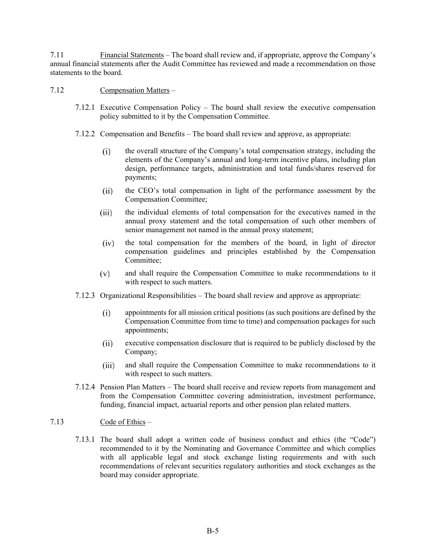7.11 Financial Statements – The board shall review and, if appropriate, approve the Company's annual financial statements after the Audit Committee has reviewed and made a recommendation on those statements to the board.

#### 7.12 Compensation Matters –

- 7.12.1 Executive Compensation Policy The board shall review the executive compensation policy submitted to it by the Compensation Committee.
- 7.12.2 Compensation and Benefits The board shall review and approve, as appropriate:
	- the overall structure of the Company's total compensation strategy, including the  $(i)$ elements of the Company's annual and long-term incentive plans, including plan design, performance targets, administration and total funds/shares reserved for payments;
	- $(ii)$ the CEO's total compensation in light of the performance assessment by the Compensation Committee;
	- the individual elements of total compensation for the executives named in the  $(iii)$ annual proxy statement and the total compensation of such other members of senior management not named in the annual proxy statement;
	- $(iv)$ the total compensation for the members of the board, in light of director compensation guidelines and principles established by the Compensation Committee;
	- $(v)$ and shall require the Compensation Committee to make recommendations to it with respect to such matters.
- 7.12.3 Organizational Responsibilities The board shall review and approve as appropriate:
	- appointments for all mission critical positions (as such positions are defined by the  $(i)$ Compensation Committee from time to time) and compensation packages for such appointments;
	- executive compensation disclosure that is required to be publicly disclosed by the  $(ii)$ Company;
	- and shall require the Compensation Committee to make recommendations to it  $(iii)$ with respect to such matters.
- 7.12.4 Pension Plan Matters The board shall receive and review reports from management and from the Compensation Committee covering administration, investment performance, funding, financial impact, actuarial reports and other pension plan related matters.

#### 7.13 Code of Ethics –

7.13.1 The board shall adopt a written code of business conduct and ethics (the "Code") recommended to it by the Nominating and Governance Committee and which complies with all applicable legal and stock exchange listing requirements and with such recommendations of relevant securities regulatory authorities and stock exchanges as the board may consider appropriate.